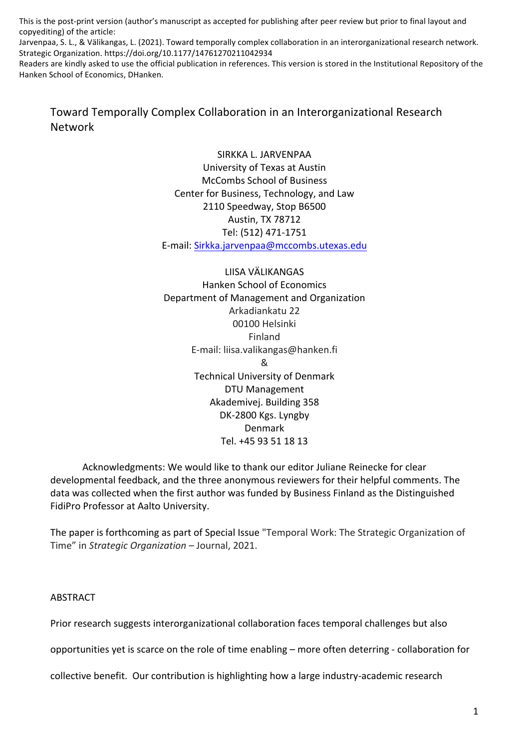This is the post-print version (author's manuscript as accepted for publishing after peer review but prior to final layout and copyediting) of the article:

Jarvenpaa, S. L., & Välikangas, L. (2021). Toward temporally complex collaboration in an interorganizational research network. Strategic Organization. https://doi.org/10.1177/14761270211042934

Readers are kindly asked to use the official publication in references. This version is stored in the Institutional Repository of the Hanken School of Economics, DHanken.

Toward Temporally Complex Collaboration in an Interorganizational Research Network

> SIRKKA L. JARVENPAA University of Texas at Austin McCombs School of Business Center for Business, Technology, and Law 2110 Speedway, Stop B6500 Austin, TX 78712 Tel: (512) 471-1751 E-mail: Sirkka.jarvenpaa@mccombs.utexas.edu

LIISA VÄLIKANGAS Hanken School of Economics Department of Management and Organization Arkadiankatu 22 00100 Helsinki Finland E-mail: liisa.valikangas@hanken.fi & Technical University of Denmark DTU Management Akademivej. Building 358 DK-2800 Kgs. Lyngby Denmark Tel. +45 93 51 18 13

Acknowledgments: We would like to thank our editor Juliane Reinecke for clear developmental feedback, and the three anonymous reviewers for their helpful comments. The data was collected when the first author was funded by Business Finland as the Distinguished FidiPro Professor at Aalto University.

The paper is forthcoming as part of Special Issue "Temporal Work: The Strategic Organization of Time" in *Strategic Organization* – Journal, 2021.

# ABSTRACT

Prior research suggests interorganizational collaboration faces temporal challenges but also

opportunities yet is scarce on the role of time enabling – more often deterring - collaboration for

collective benefit. Our contribution is highlighting how a large industry-academic research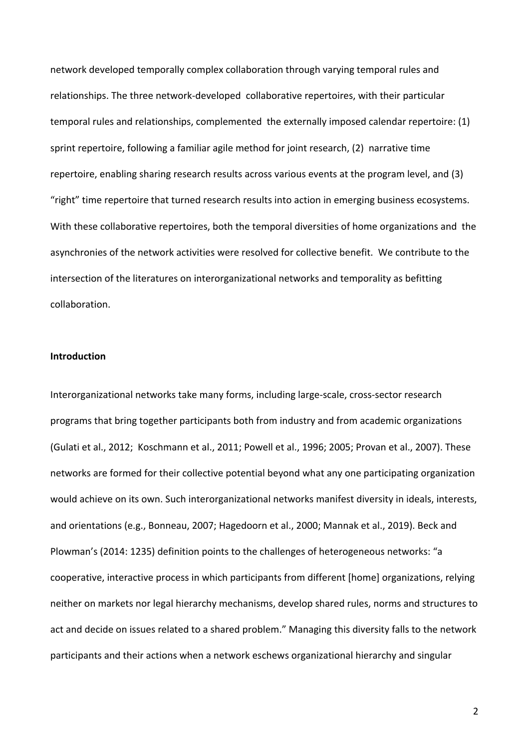network developed temporally complex collaboration through varying temporal rules and relationships. The three network-developed collaborative repertoires, with their particular temporal rules and relationships, complemented the externally imposed calendar repertoire: (1) sprint repertoire, following a familiar agile method for joint research, (2) narrative time repertoire, enabling sharing research results across various events at the program level, and (3) "right" time repertoire that turned research results into action in emerging business ecosystems. With these collaborative repertoires, both the temporal diversities of home organizations and the asynchronies of the network activities were resolved for collective benefit. We contribute to the intersection of the literatures on interorganizational networks and temporality as befitting collaboration.

## **Introduction**

Interorganizational networks take many forms, including large-scale, cross-sector research programs that bring together participants both from industry and from academic organizations (Gulati et al., 2012; Koschmann et al., 2011; Powell et al., 1996; 2005; Provan et al., 2007). These networks are formed for their collective potential beyond what any one participating organization would achieve on its own. Such interorganizational networks manifest diversity in ideals, interests, and orientations (e.g., Bonneau, 2007; Hagedoorn et al., 2000; Mannak et al., 2019). Beck and Plowman's (2014: 1235) definition points to the challenges of heterogeneous networks: "a cooperative, interactive process in which participants from different [home] organizations, relying neither on markets nor legal hierarchy mechanisms, develop shared rules, norms and structures to act and decide on issues related to a shared problem." Managing this diversity falls to the network participants and their actions when a network eschews organizational hierarchy and singular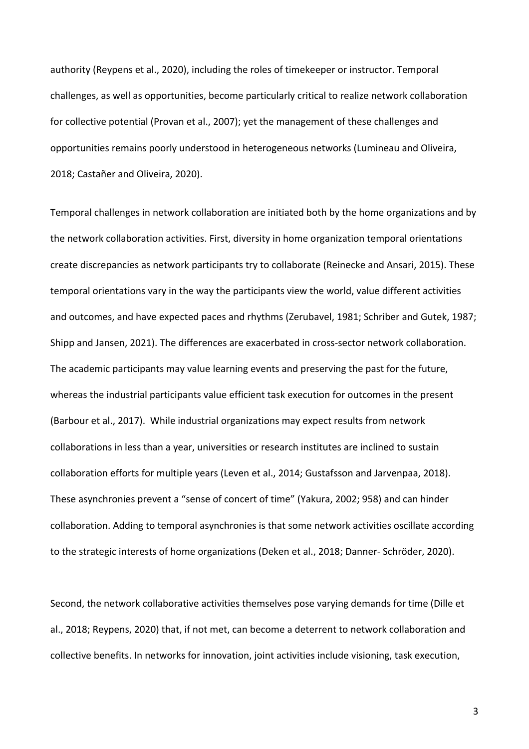authority (Reypens et al., 2020), including the roles of timekeeper or instructor. Temporal challenges, as well as opportunities, become particularly critical to realize network collaboration for collective potential (Provan et al., 2007); yet the management of these challenges and opportunities remains poorly understood in heterogeneous networks (Lumineau and Oliveira, 2018; Castañer and Oliveira, 2020).

Temporal challenges in network collaboration are initiated both by the home organizations and by the network collaboration activities. First, diversity in home organization temporal orientations create discrepancies as network participants try to collaborate (Reinecke and Ansari, 2015). These temporal orientations vary in the way the participants view the world, value different activities and outcomes, and have expected paces and rhythms (Zerubavel, 1981; Schriber and Gutek, 1987; Shipp and Jansen, 2021). The differences are exacerbated in cross-sector network collaboration. The academic participants may value learning events and preserving the past for the future, whereas the industrial participants value efficient task execution for outcomes in the present (Barbour et al., 2017). While industrial organizations may expect results from network collaborations in less than a year, universities or research institutes are inclined to sustain collaboration efforts for multiple years (Leven et al., 2014; Gustafsson and Jarvenpaa, 2018). These asynchronies prevent a "sense of concert of time" (Yakura, 2002; 958) and can hinder collaboration. Adding to temporal asynchronies is that some network activities oscillate according to the strategic interests of home organizations (Deken et al., 2018; Danner- Schröder, 2020).

Second, the network collaborative activities themselves pose varying demands for time (Dille et al., 2018; Reypens, 2020) that, if not met, can become a deterrent to network collaboration and collective benefits. In networks for innovation, joint activities include visioning, task execution,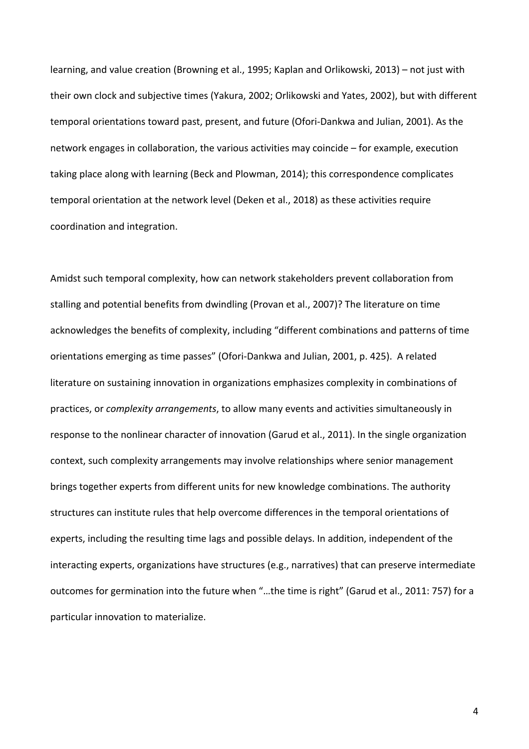learning, and value creation (Browning et al., 1995; Kaplan and Orlikowski, 2013) – not just with their own clock and subjective times (Yakura, 2002; Orlikowski and Yates, 2002), but with different temporal orientations toward past, present, and future (Ofori-Dankwa and Julian, 2001). As the network engages in collaboration, the various activities may coincide – for example, execution taking place along with learning (Beck and Plowman, 2014); this correspondence complicates temporal orientation at the network level (Deken et al., 2018) as these activities require coordination and integration.

Amidst such temporal complexity, how can network stakeholders prevent collaboration from stalling and potential benefits from dwindling (Provan et al., 2007)? The literature on time acknowledges the benefits of complexity, including "different combinations and patterns of time orientations emerging as time passes" (Ofori-Dankwa and Julian, 2001, p. 425). A related literature on sustaining innovation in organizations emphasizes complexity in combinations of practices, or *complexity arrangements*, to allow many events and activities simultaneously in response to the nonlinear character of innovation (Garud et al., 2011). In the single organization context, such complexity arrangements may involve relationships where senior management brings together experts from different units for new knowledge combinations. The authority structures can institute rules that help overcome differences in the temporal orientations of experts, including the resulting time lags and possible delays. In addition, independent of the interacting experts, organizations have structures (e.g., narratives) that can preserve intermediate outcomes for germination into the future when "…the time is right" (Garud et al., 2011: 757) for a particular innovation to materialize.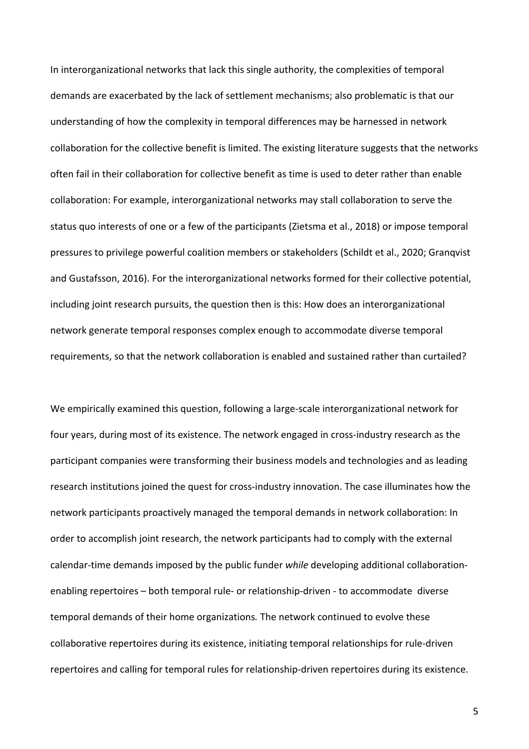In interorganizational networks that lack this single authority, the complexities of temporal demands are exacerbated by the lack of settlement mechanisms; also problematic is that our understanding of how the complexity in temporal differences may be harnessed in network collaboration for the collective benefit is limited. The existing literature suggests that the networks often fail in their collaboration for collective benefit as time is used to deter rather than enable collaboration: For example, interorganizational networks may stall collaboration to serve the status quo interests of one or a few of the participants (Zietsma et al., 2018) or impose temporal pressures to privilege powerful coalition members or stakeholders (Schildt et al., 2020; Granqvist and Gustafsson, 2016). For the interorganizational networks formed for their collective potential, including joint research pursuits, the question then is this: How does an interorganizational network generate temporal responses complex enough to accommodate diverse temporal requirements, so that the network collaboration is enabled and sustained rather than curtailed?

We empirically examined this question, following a large-scale interorganizational network for four years, during most of its existence. The network engaged in cross-industry research as the participant companies were transforming their business models and technologies and as leading research institutions joined the quest for cross-industry innovation. The case illuminates how the network participants proactively managed the temporal demands in network collaboration: In order to accomplish joint research, the network participants had to comply with the external calendar-time demands imposed by the public funder *while* developing additional collaborationenabling repertoires – both temporal rule- or relationship-driven - to accommodate diverse temporal demands of their home organizations*.* The network continued to evolve these collaborative repertoires during its existence, initiating temporal relationships for rule-driven repertoires and calling for temporal rules for relationship-driven repertoires during its existence.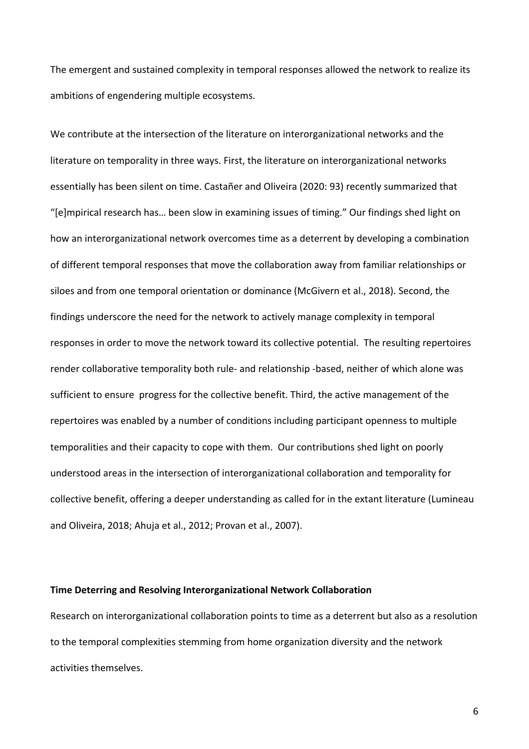The emergent and sustained complexity in temporal responses allowed the network to realize its ambitions of engendering multiple ecosystems.

We contribute at the intersection of the literature on interorganizational networks and the literature on temporality in three ways. First, the literature on interorganizational networks essentially has been silent on time. Castañer and Oliveira (2020: 93) recently summarized that "[e]mpirical research has… been slow in examining issues of timing." Our findings shed light on how an interorganizational network overcomes time as a deterrent by developing a combination of different temporal responses that move the collaboration away from familiar relationships or siloes and from one temporal orientation or dominance (McGivern et al., 2018). Second, the findings underscore the need for the network to actively manage complexity in temporal responses in order to move the network toward its collective potential. The resulting repertoires render collaborative temporality both rule- and relationship -based, neither of which alone was sufficient to ensure progress for the collective benefit. Third, the active management of the repertoires was enabled by a number of conditions including participant openness to multiple temporalities and their capacity to cope with them. Our contributions shed light on poorly understood areas in the intersection of interorganizational collaboration and temporality for collective benefit, offering a deeper understanding as called for in the extant literature (Lumineau and Oliveira, 2018; Ahuja et al., 2012; Provan et al., 2007).

# **Time Deterring and Resolving Interorganizational Network Collaboration**

Research on interorganizational collaboration points to time as a deterrent but also as a resolution to the temporal complexities stemming from home organization diversity and the network activities themselves.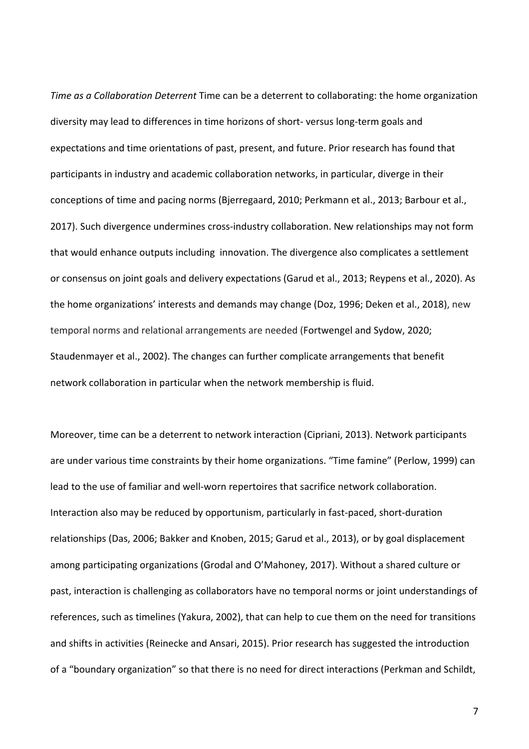*Time as a Collaboration Deterrent* Time can be a deterrent to collaborating: the home organization diversity may lead to differences in time horizons of short- versus long-term goals and expectations and time orientations of past, present, and future. Prior research has found that participants in industry and academic collaboration networks, in particular, diverge in their conceptions of time and pacing norms (Bjerregaard, 2010; Perkmann et al., 2013; Barbour et al., 2017). Such divergence undermines cross-industry collaboration. New relationships may not form that would enhance outputs including innovation. The divergence also complicates a settlement or consensus on joint goals and delivery expectations (Garud et al., 2013; Reypens et al., 2020). As the home organizations' interests and demands may change (Doz, 1996; Deken et al., 2018), new temporal norms and relational arrangements are needed (Fortwengel and Sydow, 2020; Staudenmayer et al., 2002). The changes can further complicate arrangements that benefit network collaboration in particular when the network membership is fluid.

Moreover, time can be a deterrent to network interaction (Cipriani, 2013). Network participants are under various time constraints by their home organizations. "Time famine" (Perlow, 1999) can lead to the use of familiar and well-worn repertoires that sacrifice network collaboration. Interaction also may be reduced by opportunism, particularly in fast-paced, short-duration relationships (Das, 2006; Bakker and Knoben, 2015; Garud et al., 2013), or by goal displacement among participating organizations (Grodal and O'Mahoney, 2017). Without a shared culture or past, interaction is challenging as collaborators have no temporal norms or joint understandings of references, such as timelines (Yakura, 2002), that can help to cue them on the need for transitions and shifts in activities (Reinecke and Ansari, 2015). Prior research has suggested the introduction of a "boundary organization" so that there is no need for direct interactions (Perkman and Schildt,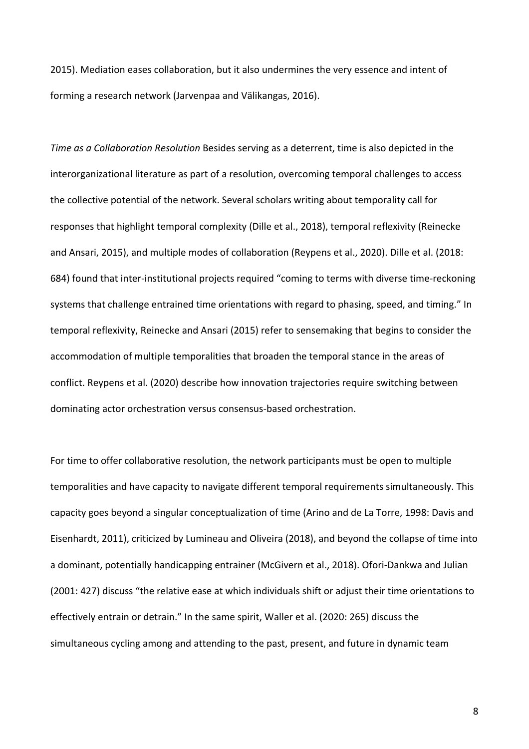2015). Mediation eases collaboration, but it also undermines the very essence and intent of forming a research network (Jarvenpaa and Välikangas, 2016).

*Time as a Collaboration Resolution* Besides serving as a deterrent, time is also depicted in the interorganizational literature as part of a resolution, overcoming temporal challenges to access the collective potential of the network. Several scholars writing about temporality call for responses that highlight temporal complexity (Dille et al., 2018), temporal reflexivity (Reinecke and Ansari, 2015), and multiple modes of collaboration (Reypens et al., 2020). Dille et al. (2018: 684) found that inter-institutional projects required "coming to terms with diverse time-reckoning systems that challenge entrained time orientations with regard to phasing, speed, and timing." In temporal reflexivity, Reinecke and Ansari (2015) refer to sensemaking that begins to consider the accommodation of multiple temporalities that broaden the temporal stance in the areas of conflict. Reypens et al. (2020) describe how innovation trajectories require switching between dominating actor orchestration versus consensus-based orchestration.

For time to offer collaborative resolution, the network participants must be open to multiple temporalities and have capacity to navigate different temporal requirements simultaneously. This capacity goes beyond a singular conceptualization of time (Arino and de La Torre, 1998: Davis and Eisenhardt, 2011), criticized by Lumineau and Oliveira (2018), and beyond the collapse of time into a dominant, potentially handicapping entrainer (McGivern et al., 2018). Ofori-Dankwa and Julian (2001: 427) discuss "the relative ease at which individuals shift or adjust their time orientations to effectively entrain or detrain." In the same spirit, Waller et al. (2020: 265) discuss the simultaneous cycling among and attending to the past, present, and future in dynamic team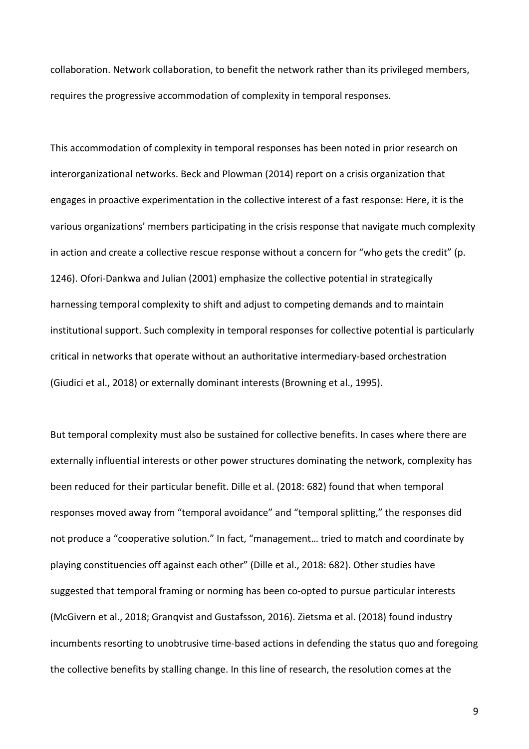collaboration. Network collaboration, to benefit the network rather than its privileged members, requires the progressive accommodation of complexity in temporal responses.

This accommodation of complexity in temporal responses has been noted in prior research on interorganizational networks. Beck and Plowman (2014) report on a crisis organization that engages in proactive experimentation in the collective interest of a fast response: Here, it is the various organizations' members participating in the crisis response that navigate much complexity in action and create a collective rescue response without a concern for "who gets the credit" (p. 1246). Ofori-Dankwa and Julian (2001) emphasize the collective potential in strategically harnessing temporal complexity to shift and adjust to competing demands and to maintain institutional support. Such complexity in temporal responses for collective potential is particularly critical in networks that operate without an authoritative intermediary-based orchestration (Giudici et al., 2018) or externally dominant interests (Browning et al., 1995).

But temporal complexity must also be sustained for collective benefits. In cases where there are externally influential interests or other power structures dominating the network, complexity has been reduced for their particular benefit. Dille et al. (2018: 682) found that when temporal responses moved away from "temporal avoidance" and "temporal splitting," the responses did not produce a "cooperative solution." In fact, "management… tried to match and coordinate by playing constituencies off against each other" (Dille et al., 2018: 682). Other studies have suggested that temporal framing or norming has been co-opted to pursue particular interests (McGivern et al., 2018; Granqvist and Gustafsson, 2016). Zietsma et al. (2018) found industry incumbents resorting to unobtrusive time-based actions in defending the status quo and foregoing the collective benefits by stalling change. In this line of research, the resolution comes at the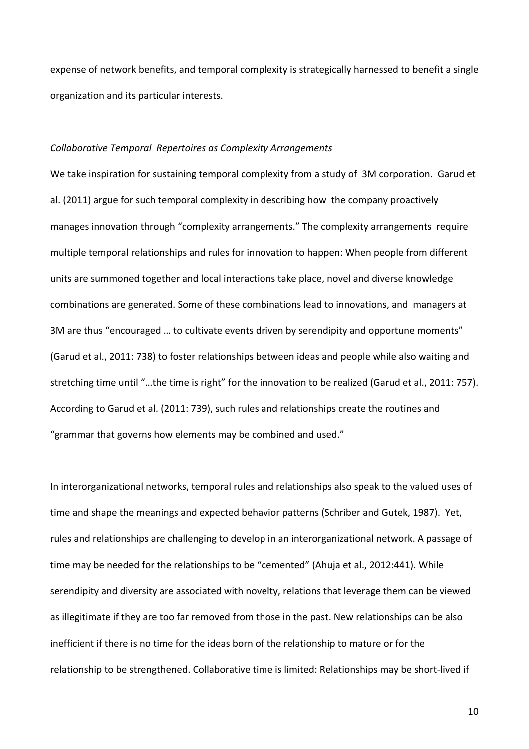expense of network benefits, and temporal complexity is strategically harnessed to benefit a single organization and its particular interests.

#### *Collaborative Temporal Repertoires as Complexity Arrangements*

We take inspiration for sustaining temporal complexity from a study of 3M corporation. Garud et al. (2011) argue for such temporal complexity in describing how the company proactively manages innovation through "complexity arrangements." The complexity arrangements require multiple temporal relationships and rules for innovation to happen: When people from different units are summoned together and local interactions take place, novel and diverse knowledge combinations are generated. Some of these combinations lead to innovations, and managers at 3M are thus "encouraged … to cultivate events driven by serendipity and opportune moments" (Garud et al., 2011: 738) to foster relationships between ideas and people while also waiting and stretching time until "…the time is right" for the innovation to be realized (Garud et al., 2011: 757). According to Garud et al. (2011: 739), such rules and relationships create the routines and "grammar that governs how elements may be combined and used."

In interorganizational networks, temporal rules and relationships also speak to the valued uses of time and shape the meanings and expected behavior patterns (Schriber and Gutek, 1987). Yet, rules and relationships are challenging to develop in an interorganizational network. A passage of time may be needed for the relationships to be "cemented" (Ahuja et al., 2012:441). While serendipity and diversity are associated with novelty, relations that leverage them can be viewed as illegitimate if they are too far removed from those in the past. New relationships can be also inefficient if there is no time for the ideas born of the relationship to mature or for the relationship to be strengthened. Collaborative time is limited: Relationships may be short-lived if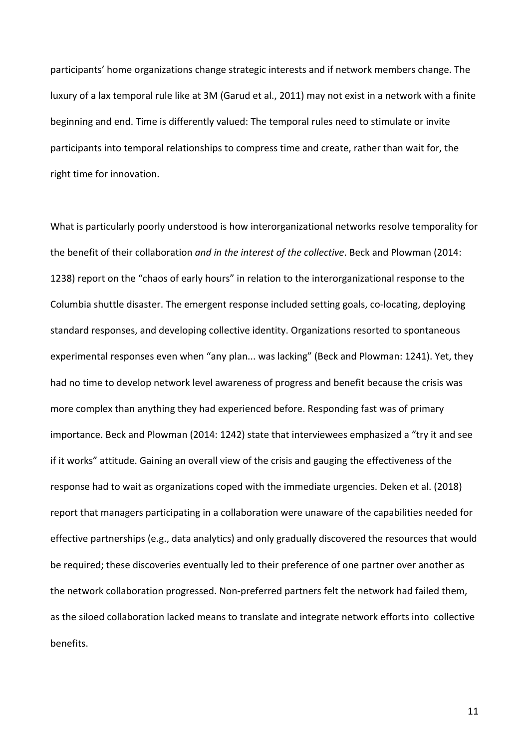participants' home organizations change strategic interests and if network members change. The luxury of a lax temporal rule like at 3M (Garud et al., 2011) may not exist in a network with a finite beginning and end. Time is differently valued: The temporal rules need to stimulate or invite participants into temporal relationships to compress time and create, rather than wait for, the right time for innovation.

What is particularly poorly understood is how interorganizational networks resolve temporality for the benefit of their collaboration *and in the interest of the collective*. Beck and Plowman (2014: 1238) report on the "chaos of early hours" in relation to the interorganizational response to the Columbia shuttle disaster. The emergent response included setting goals, co-locating, deploying standard responses, and developing collective identity. Organizations resorted to spontaneous experimental responses even when "any plan... was lacking" (Beck and Plowman: 1241). Yet, they had no time to develop network level awareness of progress and benefit because the crisis was more complex than anything they had experienced before. Responding fast was of primary importance. Beck and Plowman (2014: 1242) state that interviewees emphasized a "try it and see if it works" attitude. Gaining an overall view of the crisis and gauging the effectiveness of the response had to wait as organizations coped with the immediate urgencies. Deken et al. (2018) report that managers participating in a collaboration were unaware of the capabilities needed for effective partnerships (e.g., data analytics) and only gradually discovered the resources that would be required; these discoveries eventually led to their preference of one partner over another as the network collaboration progressed. Non-preferred partners felt the network had failed them, as the siloed collaboration lacked means to translate and integrate network efforts into collective benefits.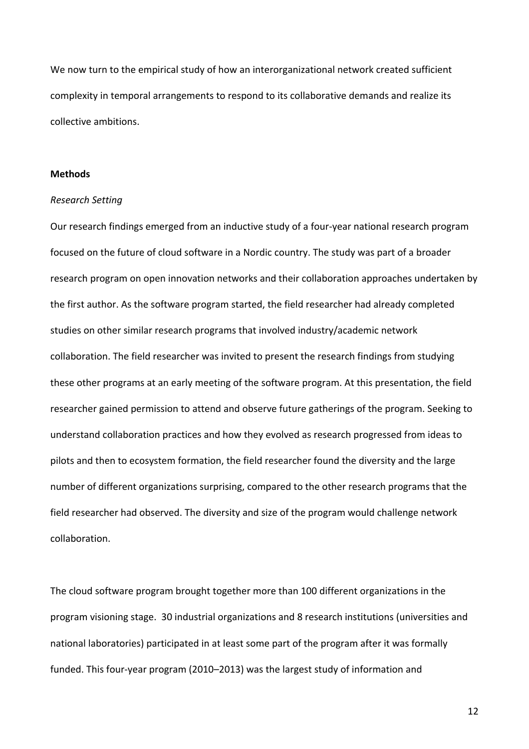We now turn to the empirical study of how an interorganizational network created sufficient complexity in temporal arrangements to respond to its collaborative demands and realize its collective ambitions.

## **Methods**

## *Research Setting*

Our research findings emerged from an inductive study of a four-year national research program focused on the future of cloud software in a Nordic country. The study was part of a broader research program on open innovation networks and their collaboration approaches undertaken by the first author. As the software program started, the field researcher had already completed studies on other similar research programs that involved industry/academic network collaboration. The field researcher was invited to present the research findings from studying these other programs at an early meeting of the software program. At this presentation, the field researcher gained permission to attend and observe future gatherings of the program. Seeking to understand collaboration practices and how they evolved as research progressed from ideas to pilots and then to ecosystem formation, the field researcher found the diversity and the large number of different organizations surprising, compared to the other research programs that the field researcher had observed. The diversity and size of the program would challenge network collaboration.

The cloud software program brought together more than 100 different organizations in the program visioning stage. 30 industrial organizations and 8 research institutions (universities and national laboratories) participated in at least some part of the program after it was formally funded. This four-year program (2010–2013) was the largest study of information and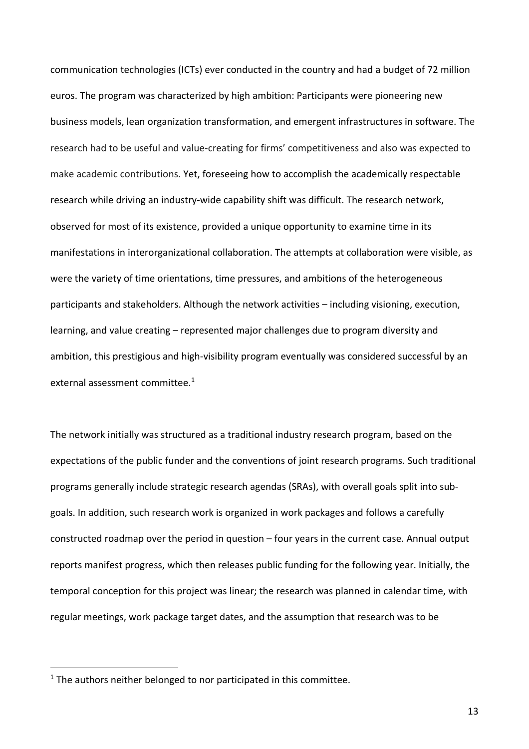communication technologies (ICTs) ever conducted in the country and had a budget of 72 million euros. The program was characterized by high ambition: Participants were pioneering new business models, lean organization transformation, and emergent infrastructures in software. The research had to be useful and value-creating for firms' competitiveness and also was expected to make academic contributions. Yet, foreseeing how to accomplish the academically respectable research while driving an industry-wide capability shift was difficult. The research network, observed for most of its existence, provided a unique opportunity to examine time in its manifestations in interorganizational collaboration. The attempts at collaboration were visible, as were the variety of time orientations, time pressures, and ambitions of the heterogeneous participants and stakeholders. Although the network activities – including visioning, execution, learning, and value creating – represented major challenges due to program diversity and ambition, this prestigious and high-visibility program eventually was considered successful by an external assessment committee. 1

The network initially was structured as a traditional industry research program, based on the expectations of the public funder and the conventions of joint research programs. Such traditional programs generally include strategic research agendas (SRAs), with overall goals split into subgoals. In addition, such research work is organized in work packages and follows a carefully constructed roadmap over the period in question – four years in the current case. Annual output reports manifest progress, which then releases public funding for the following year. Initially, the temporal conception for this project was linear; the research was planned in calendar time, with regular meetings, work package target dates, and the assumption that research was to be

 $1$  The authors neither belonged to nor participated in this committee.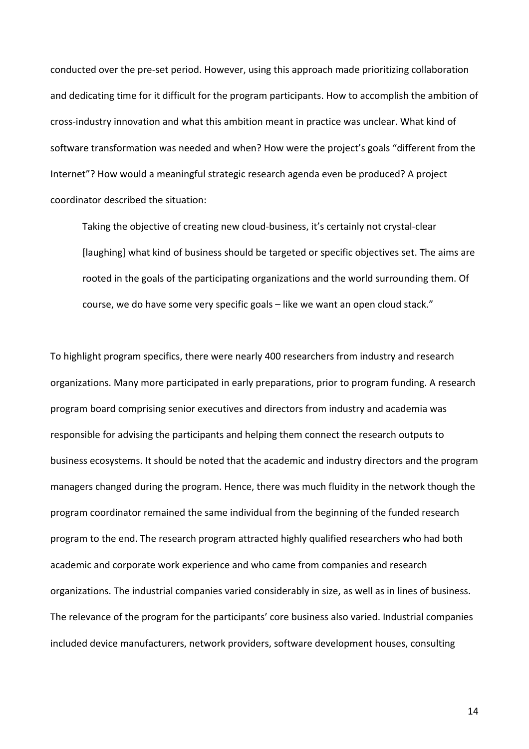conducted over the pre-set period. However, using this approach made prioritizing collaboration and dedicating time for it difficult for the program participants. How to accomplish the ambition of cross-industry innovation and what this ambition meant in practice was unclear. What kind of software transformation was needed and when? How were the project's goals "different from the Internet"? How would a meaningful strategic research agenda even be produced? A project coordinator described the situation:

Taking the objective of creating new cloud-business, it's certainly not crystal-clear [laughing] what kind of business should be targeted or specific objectives set. The aims are rooted in the goals of the participating organizations and the world surrounding them. Of course, we do have some very specific goals – like we want an open cloud stack."

To highlight program specifics, there were nearly 400 researchers from industry and research organizations. Many more participated in early preparations, prior to program funding. A research program board comprising senior executives and directors from industry and academia was responsible for advising the participants and helping them connect the research outputs to business ecosystems. It should be noted that the academic and industry directors and the program managers changed during the program. Hence, there was much fluidity in the network though the program coordinator remained the same individual from the beginning of the funded research program to the end. The research program attracted highly qualified researchers who had both academic and corporate work experience and who came from companies and research organizations. The industrial companies varied considerably in size, as well as in lines of business. The relevance of the program for the participants' core business also varied. Industrial companies included device manufacturers, network providers, software development houses, consulting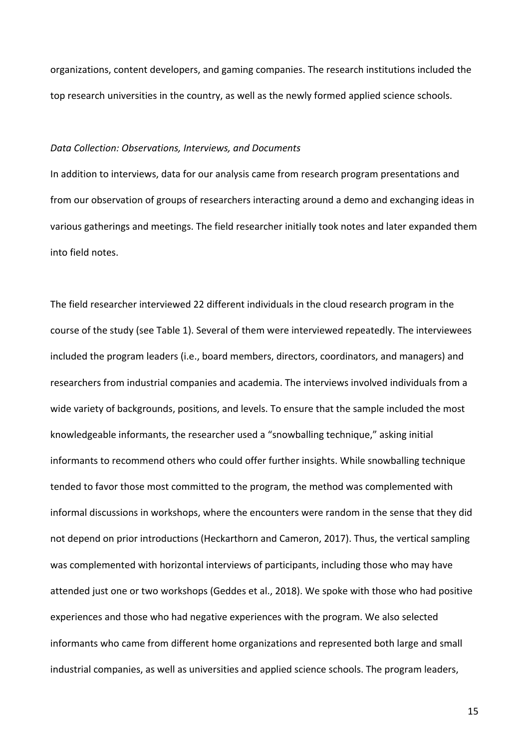organizations, content developers, and gaming companies. The research institutions included the top research universities in the country, as well as the newly formed applied science schools.

#### *Data Collection: Observations, Interviews, and Documents*

In addition to interviews, data for our analysis came from research program presentations and from our observation of groups of researchers interacting around a demo and exchanging ideas in various gatherings and meetings. The field researcher initially took notes and later expanded them into field notes.

The field researcher interviewed 22 different individuals in the cloud research program in the course of the study (see Table 1). Several of them were interviewed repeatedly. The interviewees included the program leaders (i.e., board members, directors, coordinators, and managers) and researchers from industrial companies and academia. The interviews involved individuals from a wide variety of backgrounds, positions, and levels. To ensure that the sample included the most knowledgeable informants, the researcher used a "snowballing technique," asking initial informants to recommend others who could offer further insights. While snowballing technique tended to favor those most committed to the program, the method was complemented with informal discussions in workshops, where the encounters were random in the sense that they did not depend on prior introductions (Heckarthorn and Cameron, 2017). Thus, the vertical sampling was complemented with horizontal interviews of participants, including those who may have attended just one or two workshops (Geddes et al., 2018). We spoke with those who had positive experiences and those who had negative experiences with the program. We also selected informants who came from different home organizations and represented both large and small industrial companies, as well as universities and applied science schools. The program leaders,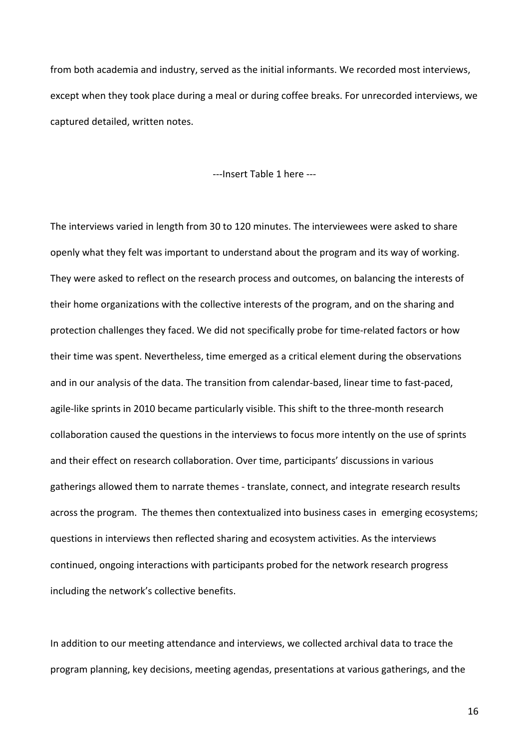from both academia and industry, served as the initial informants. We recorded most interviews, except when they took place during a meal or during coffee breaks. For unrecorded interviews, we captured detailed, written notes.

---Insert Table 1 here ---

The interviews varied in length from 30 to 120 minutes. The interviewees were asked to share openly what they felt was important to understand about the program and its way of working. They were asked to reflect on the research process and outcomes, on balancing the interests of their home organizations with the collective interests of the program, and on the sharing and protection challenges they faced. We did not specifically probe for time-related factors or how their time was spent. Nevertheless, time emerged as a critical element during the observations and in our analysis of the data. The transition from calendar-based, linear time to fast-paced, agile-like sprints in 2010 became particularly visible. This shift to the three-month research collaboration caused the questions in the interviews to focus more intently on the use of sprints and their effect on research collaboration. Over time, participants' discussions in various gatherings allowed them to narrate themes - translate, connect, and integrate research results across the program. The themes then contextualized into business cases in emerging ecosystems; questions in interviews then reflected sharing and ecosystem activities. As the interviews continued, ongoing interactions with participants probed for the network research progress including the network's collective benefits.

In addition to our meeting attendance and interviews, we collected archival data to trace the program planning, key decisions, meeting agendas, presentations at various gatherings, and the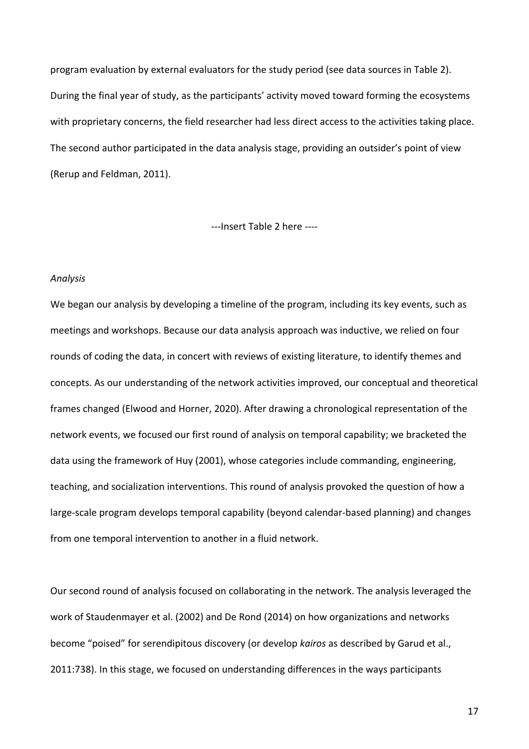program evaluation by external evaluators for the study period (see data sources in Table 2). During the final year of study, as the participants' activity moved toward forming the ecosystems with proprietary concerns, the field researcher had less direct access to the activities taking place. The second author participated in the data analysis stage, providing an outsider's point of view (Rerup and Feldman, 2011).

---Insert Table 2 here ----

#### *Analysis*

We began our analysis by developing a timeline of the program, including its key events, such as meetings and workshops. Because our data analysis approach was inductive, we relied on four rounds of coding the data, in concert with reviews of existing literature, to identify themes and concepts. As our understanding of the network activities improved, our conceptual and theoretical frames changed (Elwood and Horner, 2020). After drawing a chronological representation of the network events, we focused our first round of analysis on temporal capability; we bracketed the data using the framework of Huy (2001), whose categories include commanding, engineering, teaching, and socialization interventions. This round of analysis provoked the question of how a large-scale program develops temporal capability (beyond calendar-based planning) and changes from one temporal intervention to another in a fluid network.

Our second round of analysis focused on collaborating in the network. The analysis leveraged the work of Staudenmayer et al. (2002) and De Rond (2014) on how organizations and networks become "poised" for serendipitous discovery (or develop *kairos* as described by Garud et al., 2011:738). In this stage, we focused on understanding differences in the ways participants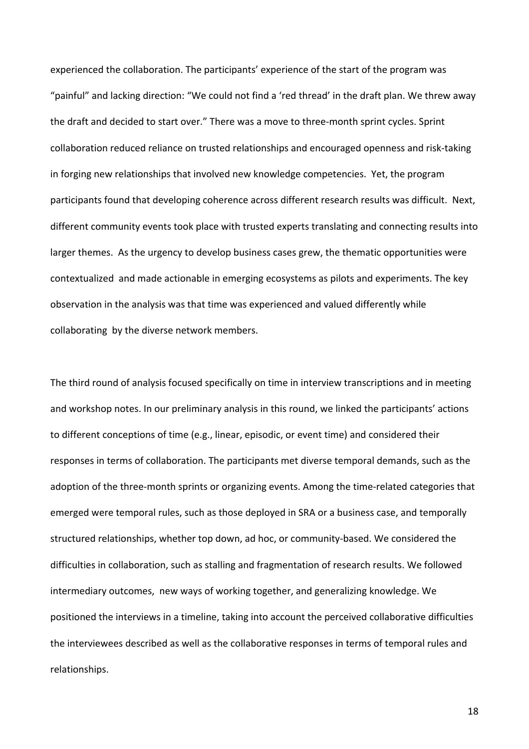experienced the collaboration. The participants' experience of the start of the program was "painful" and lacking direction: "We could not find a 'red thread' in the draft plan. We threw away the draft and decided to start over." There was a move to three-month sprint cycles. Sprint collaboration reduced reliance on trusted relationships and encouraged openness and risk-taking in forging new relationships that involved new knowledge competencies. Yet, the program participants found that developing coherence across different research results was difficult. Next, different community events took place with trusted experts translating and connecting results into larger themes. As the urgency to develop business cases grew, the thematic opportunities were contextualized and made actionable in emerging ecosystems as pilots and experiments. The key observation in the analysis was that time was experienced and valued differently while collaborating by the diverse network members.

The third round of analysis focused specifically on time in interview transcriptions and in meeting and workshop notes. In our preliminary analysis in this round, we linked the participants' actions to different conceptions of time (e.g., linear, episodic, or event time) and considered their responses in terms of collaboration. The participants met diverse temporal demands, such as the adoption of the three-month sprints or organizing events. Among the time-related categories that emerged were temporal rules, such as those deployed in SRA or a business case, and temporally structured relationships, whether top down, ad hoc, or community-based. We considered the difficulties in collaboration, such as stalling and fragmentation of research results. We followed intermediary outcomes, new ways of working together, and generalizing knowledge. We positioned the interviews in a timeline, taking into account the perceived collaborative difficulties the interviewees described as well as the collaborative responses in terms of temporal rules and relationships.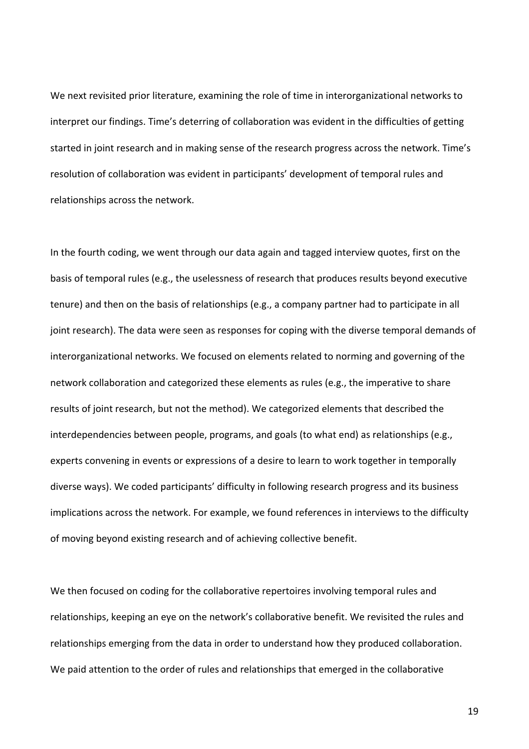We next revisited prior literature, examining the role of time in interorganizational networks to interpret our findings. Time's deterring of collaboration was evident in the difficulties of getting started in joint research and in making sense of the research progress across the network. Time's resolution of collaboration was evident in participants' development of temporal rules and relationships across the network.

In the fourth coding, we went through our data again and tagged interview quotes, first on the basis of temporal rules (e.g., the uselessness of research that produces results beyond executive tenure) and then on the basis of relationships (e.g., a company partner had to participate in all joint research). The data were seen as responses for coping with the diverse temporal demands of interorganizational networks. We focused on elements related to norming and governing of the network collaboration and categorized these elements as rules (e.g., the imperative to share results of joint research, but not the method). We categorized elements that described the interdependencies between people, programs, and goals (to what end) as relationships (e.g., experts convening in events or expressions of a desire to learn to work together in temporally diverse ways). We coded participants' difficulty in following research progress and its business implications across the network. For example, we found references in interviews to the difficulty of moving beyond existing research and of achieving collective benefit.

We then focused on coding for the collaborative repertoires involving temporal rules and relationships, keeping an eye on the network's collaborative benefit. We revisited the rules and relationships emerging from the data in order to understand how they produced collaboration. We paid attention to the order of rules and relationships that emerged in the collaborative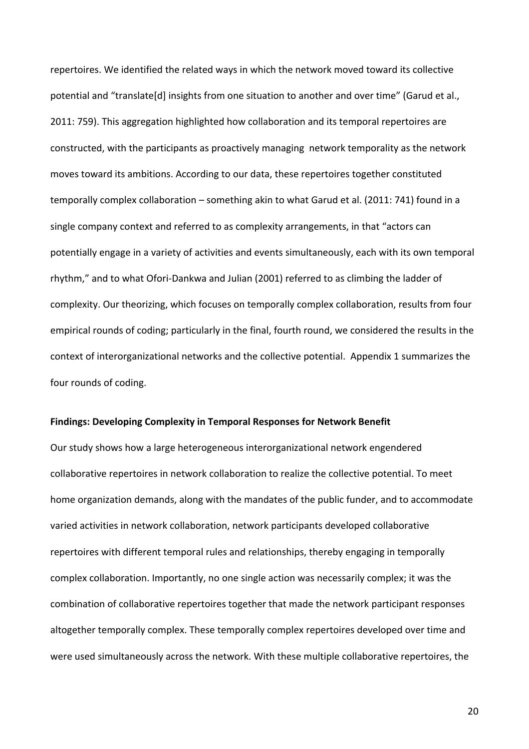repertoires. We identified the related ways in which the network moved toward its collective potential and "translate[d] insights from one situation to another and over time" (Garud et al., 2011: 759). This aggregation highlighted how collaboration and its temporal repertoires are constructed, with the participants as proactively managing network temporality as the network moves toward its ambitions. According to our data, these repertoires together constituted temporally complex collaboration – something akin to what Garud et al. (2011: 741) found in a single company context and referred to as complexity arrangements, in that "actors can potentially engage in a variety of activities and events simultaneously, each with its own temporal rhythm," and to what Ofori-Dankwa and Julian (2001) referred to as climbing the ladder of complexity. Our theorizing, which focuses on temporally complex collaboration, results from four empirical rounds of coding; particularly in the final, fourth round, we considered the results in the context of interorganizational networks and the collective potential. Appendix 1 summarizes the four rounds of coding.

#### **Findings: Developing Complexity in Temporal Responses for Network Benefit**

Our study shows how a large heterogeneous interorganizational network engendered collaborative repertoires in network collaboration to realize the collective potential. To meet home organization demands, along with the mandates of the public funder, and to accommodate varied activities in network collaboration, network participants developed collaborative repertoires with different temporal rules and relationships, thereby engaging in temporally complex collaboration. Importantly, no one single action was necessarily complex; it was the combination of collaborative repertoires together that made the network participant responses altogether temporally complex. These temporally complex repertoires developed over time and were used simultaneously across the network. With these multiple collaborative repertoires, the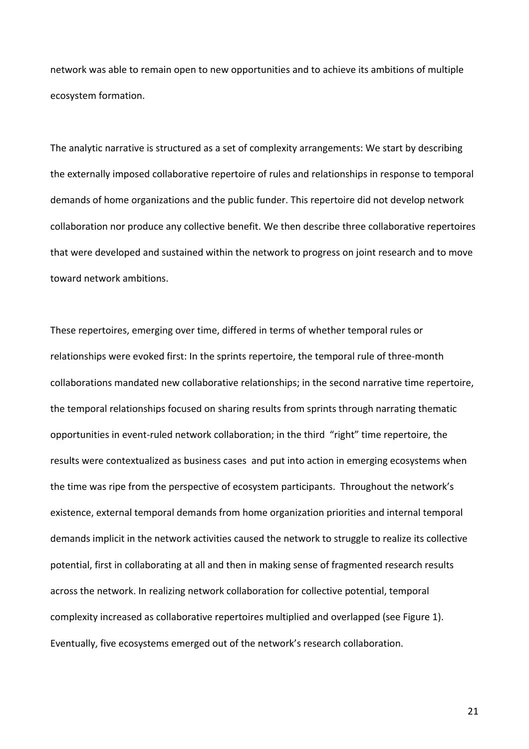network was able to remain open to new opportunities and to achieve its ambitions of multiple ecosystem formation.

The analytic narrative is structured as a set of complexity arrangements: We start by describing the externally imposed collaborative repertoire of rules and relationships in response to temporal demands of home organizations and the public funder. This repertoire did not develop network collaboration nor produce any collective benefit. We then describe three collaborative repertoires that were developed and sustained within the network to progress on joint research and to move toward network ambitions.

These repertoires, emerging over time, differed in terms of whether temporal rules or relationships were evoked first: In the sprints repertoire, the temporal rule of three-month collaborations mandated new collaborative relationships; in the second narrative time repertoire, the temporal relationships focused on sharing results from sprints through narrating thematic opportunities in event-ruled network collaboration; in the third "right" time repertoire, the results were contextualized as business cases and put into action in emerging ecosystems when the time was ripe from the perspective of ecosystem participants. Throughout the network's existence, external temporal demands from home organization priorities and internal temporal demands implicit in the network activities caused the network to struggle to realize its collective potential, first in collaborating at all and then in making sense of fragmented research results across the network. In realizing network collaboration for collective potential, temporal complexity increased as collaborative repertoires multiplied and overlapped (see Figure 1). Eventually, five ecosystems emerged out of the network's research collaboration.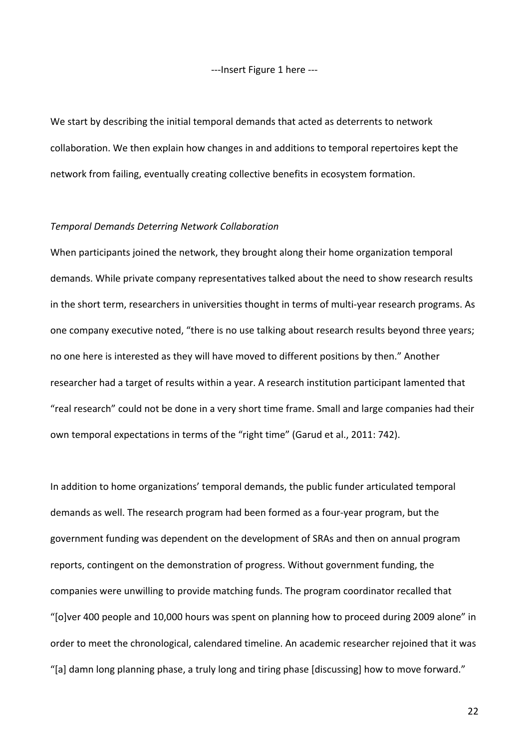---Insert Figure 1 here ---

We start by describing the initial temporal demands that acted as deterrents to network collaboration. We then explain how changes in and additions to temporal repertoires kept the network from failing, eventually creating collective benefits in ecosystem formation.

#### *Temporal Demands Deterring Network Collaboration*

When participants joined the network, they brought along their home organization temporal demands. While private company representatives talked about the need to show research results in the short term, researchers in universities thought in terms of multi-year research programs. As one company executive noted, "there is no use talking about research results beyond three years; no one here is interested as they will have moved to different positions by then." Another researcher had a target of results within a year. A research institution participant lamented that "real research" could not be done in a very short time frame. Small and large companies had their own temporal expectations in terms of the "right time" (Garud et al., 2011: 742).

In addition to home organizations' temporal demands, the public funder articulated temporal demands as well. The research program had been formed as a four-year program, but the government funding was dependent on the development of SRAs and then on annual program reports, contingent on the demonstration of progress. Without government funding, the companies were unwilling to provide matching funds. The program coordinator recalled that "[o]ver 400 people and 10,000 hours was spent on planning how to proceed during 2009 alone" in order to meet the chronological, calendared timeline. An academic researcher rejoined that it was "[a] damn long planning phase, a truly long and tiring phase [discussing] how to move forward."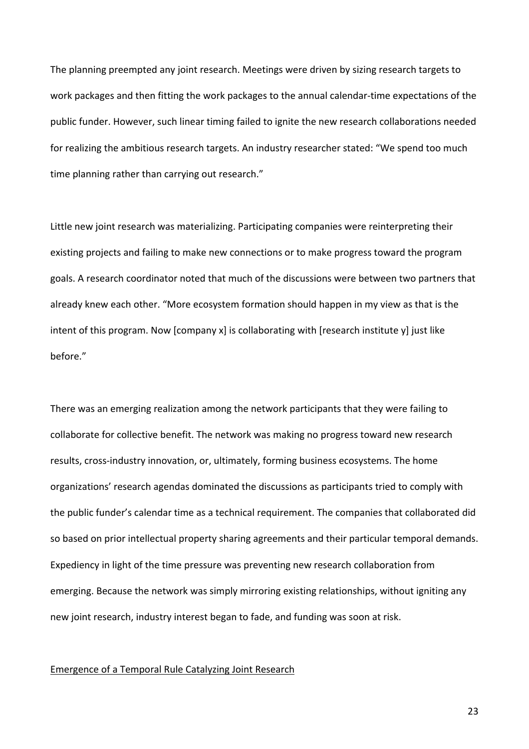The planning preempted any joint research. Meetings were driven by sizing research targets to work packages and then fitting the work packages to the annual calendar-time expectations of the public funder. However, such linear timing failed to ignite the new research collaborations needed for realizing the ambitious research targets. An industry researcher stated: "We spend too much time planning rather than carrying out research."

Little new joint research was materializing. Participating companies were reinterpreting their existing projects and failing to make new connections or to make progress toward the program goals. A research coordinator noted that much of the discussions were between two partners that already knew each other. "More ecosystem formation should happen in my view as that is the intent of this program. Now [company x] is collaborating with [research institute y] just like before."

There was an emerging realization among the network participants that they were failing to collaborate for collective benefit. The network was making no progress toward new research results, cross-industry innovation, or, ultimately, forming business ecosystems. The home organizations' research agendas dominated the discussions as participants tried to comply with the public funder's calendar time as a technical requirement. The companies that collaborated did so based on prior intellectual property sharing agreements and their particular temporal demands. Expediency in light of the time pressure was preventing new research collaboration from emerging. Because the network was simply mirroring existing relationships, without igniting any new joint research, industry interest began to fade, and funding was soon at risk.

## Emergence of a Temporal Rule Catalyzing Joint Research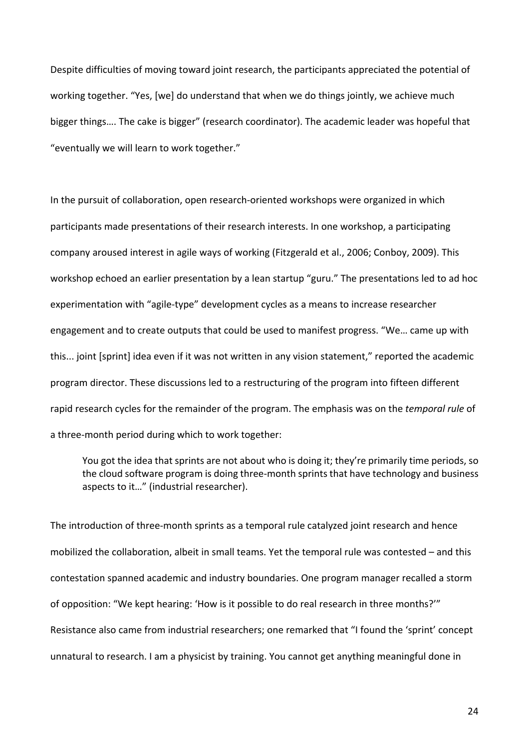Despite difficulties of moving toward joint research, the participants appreciated the potential of working together. "Yes, [we] do understand that when we do things jointly, we achieve much bigger things…. The cake is bigger" (research coordinator). The academic leader was hopeful that "eventually we will learn to work together."

In the pursuit of collaboration, open research-oriented workshops were organized in which participants made presentations of their research interests. In one workshop, a participating company aroused interest in agile ways of working (Fitzgerald et al., 2006; Conboy, 2009). This workshop echoed an earlier presentation by a lean startup "guru." The presentations led to ad hoc experimentation with "agile-type" development cycles as a means to increase researcher engagement and to create outputs that could be used to manifest progress. "We… came up with this... joint [sprint] idea even if it was not written in any vision statement," reported the academic program director. These discussions led to a restructuring of the program into fifteen different rapid research cycles for the remainder of the program. The emphasis was on the *temporal rule* of a three-month period during which to work together:

You got the idea that sprints are not about who is doing it; they're primarily time periods, so the cloud software program is doing three-month sprints that have technology and business aspects to it…" (industrial researcher).

The introduction of three-month sprints as a temporal rule catalyzed joint research and hence mobilized the collaboration, albeit in small teams. Yet the temporal rule was contested – and this contestation spanned academic and industry boundaries. One program manager recalled a storm of opposition: "We kept hearing: 'How is it possible to do real research in three months?'" Resistance also came from industrial researchers; one remarked that "I found the 'sprint' concept unnatural to research. I am a physicist by training. You cannot get anything meaningful done in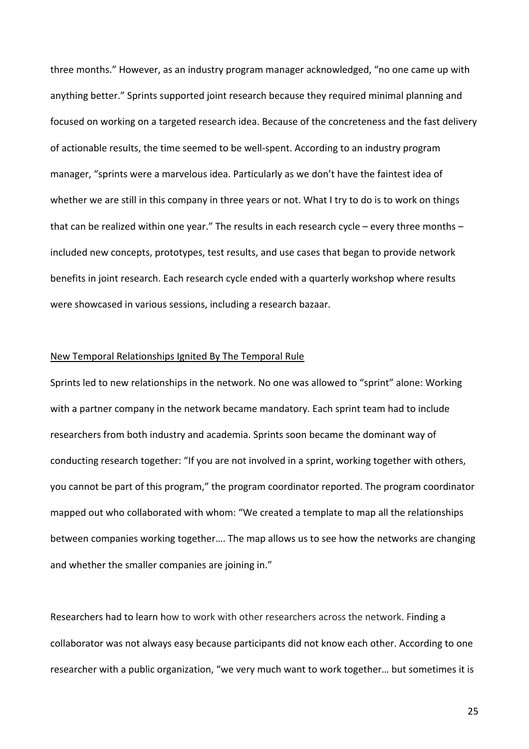three months." However, as an industry program manager acknowledged, "no one came up with anything better." Sprints supported joint research because they required minimal planning and focused on working on a targeted research idea. Because of the concreteness and the fast delivery of actionable results, the time seemed to be well-spent. According to an industry program manager, "sprints were a marvelous idea. Particularly as we don't have the faintest idea of whether we are still in this company in three years or not. What I try to do is to work on things that can be realized within one year." The results in each research cycle – every three months – included new concepts, prototypes, test results, and use cases that began to provide network benefits in joint research. Each research cycle ended with a quarterly workshop where results were showcased in various sessions, including a research bazaar.

## New Temporal Relationships Ignited By The Temporal Rule

Sprints led to new relationships in the network. No one was allowed to "sprint" alone: Working with a partner company in the network became mandatory. Each sprint team had to include researchers from both industry and academia. Sprints soon became the dominant way of conducting research together: "If you are not involved in a sprint, working together with others, you cannot be part of this program," the program coordinator reported. The program coordinator mapped out who collaborated with whom: "We created a template to map all the relationships between companies working together…. The map allows us to see how the networks are changing and whether the smaller companies are joining in."

Researchers had to learn how to work with other researchers across the network. Finding a collaborator was not always easy because participants did not know each other. According to one researcher with a public organization, "we very much want to work together… but sometimes it is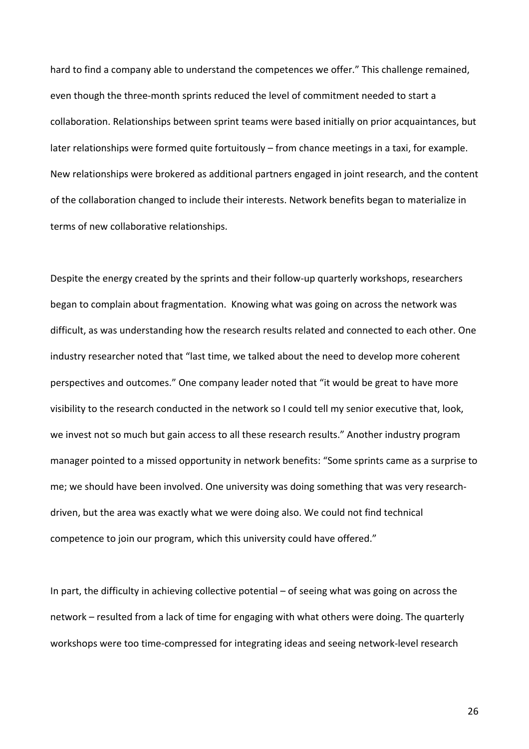hard to find a company able to understand the competences we offer." This challenge remained, even though the three-month sprints reduced the level of commitment needed to start a collaboration. Relationships between sprint teams were based initially on prior acquaintances, but later relationships were formed quite fortuitously – from chance meetings in a taxi, for example. New relationships were brokered as additional partners engaged in joint research, and the content of the collaboration changed to include their interests. Network benefits began to materialize in terms of new collaborative relationships.

Despite the energy created by the sprints and their follow-up quarterly workshops, researchers began to complain about fragmentation. Knowing what was going on across the network was difficult, as was understanding how the research results related and connected to each other. One industry researcher noted that "last time, we talked about the need to develop more coherent perspectives and outcomes." One company leader noted that "it would be great to have more visibility to the research conducted in the network so I could tell my senior executive that, look, we invest not so much but gain access to all these research results." Another industry program manager pointed to a missed opportunity in network benefits: "Some sprints came as a surprise to me; we should have been involved. One university was doing something that was very researchdriven, but the area was exactly what we were doing also. We could not find technical competence to join our program, which this university could have offered."

In part, the difficulty in achieving collective potential – of seeing what was going on across the network – resulted from a lack of time for engaging with what others were doing. The quarterly workshops were too time-compressed for integrating ideas and seeing network-level research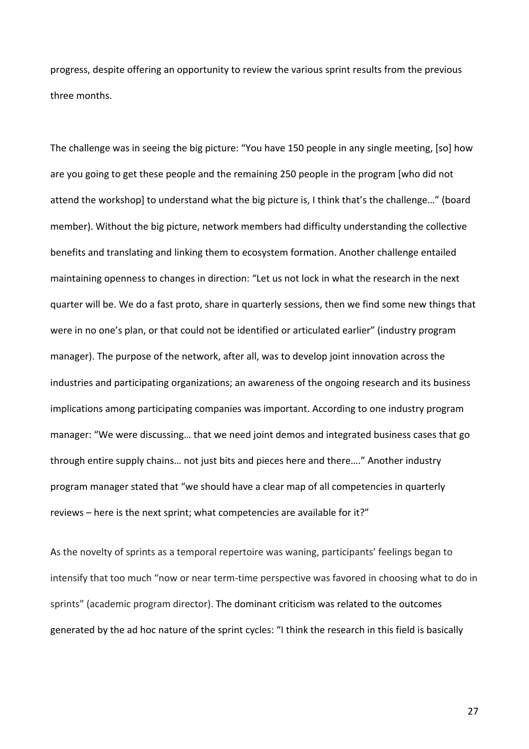progress, despite offering an opportunity to review the various sprint results from the previous three months.

The challenge was in seeing the big picture: "You have 150 people in any single meeting, [so] how are you going to get these people and the remaining 250 people in the program [who did not attend the workshop] to understand what the big picture is, I think that's the challenge…" (board member). Without the big picture, network members had difficulty understanding the collective benefits and translating and linking them to ecosystem formation. Another challenge entailed maintaining openness to changes in direction: "Let us not lock in what the research in the next quarter will be. We do a fast proto, share in quarterly sessions, then we find some new things that were in no one's plan, or that could not be identified or articulated earlier" (industry program manager). The purpose of the network, after all, was to develop joint innovation across the industries and participating organizations; an awareness of the ongoing research and its business implications among participating companies was important. According to one industry program manager: "We were discussing… that we need joint demos and integrated business cases that go through entire supply chains… not just bits and pieces here and there…." Another industry program manager stated that "we should have a clear map of all competencies in quarterly reviews – here is the next sprint; what competencies are available for it?"

As the novelty of sprints as a temporal repertoire was waning, participants' feelings began to intensify that too much "now or near term-time perspective was favored in choosing what to do in sprints" (academic program director). The dominant criticism was related to the outcomes generated by the ad hoc nature of the sprint cycles: "I think the research in this field is basically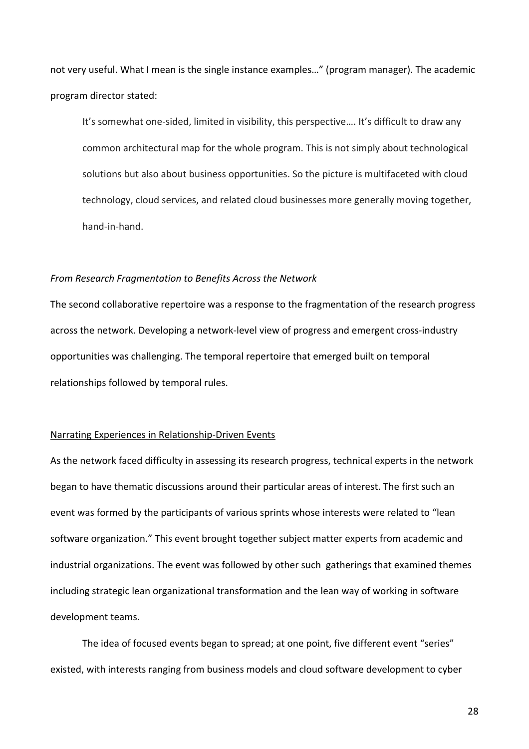not very useful. What I mean is the single instance examples…" (program manager). The academic program director stated:

It's somewhat one-sided, limited in visibility, this perspective…. It's difficult to draw any common architectural map for the whole program. This is not simply about technological solutions but also about business opportunities. So the picture is multifaceted with cloud technology, cloud services, and related cloud businesses more generally moving together, hand-in-hand.

#### *From Research Fragmentation to Benefits Across the Network*

The second collaborative repertoire was a response to the fragmentation of the research progress across the network. Developing a network-level view of progress and emergent cross-industry opportunities was challenging. The temporal repertoire that emerged built on temporal relationships followed by temporal rules.

## Narrating Experiences in Relationship-Driven Events

As the network faced difficulty in assessing its research progress, technical experts in the network began to have thematic discussions around their particular areas of interest. The first such an event was formed by the participants of various sprints whose interests were related to "lean software organization." This event brought together subject matter experts from academic and industrial organizations. The event was followed by other such gatherings that examined themes including strategic lean organizational transformation and the lean way of working in software development teams.

The idea of focused events began to spread; at one point, five different event "series" existed, with interests ranging from business models and cloud software development to cyber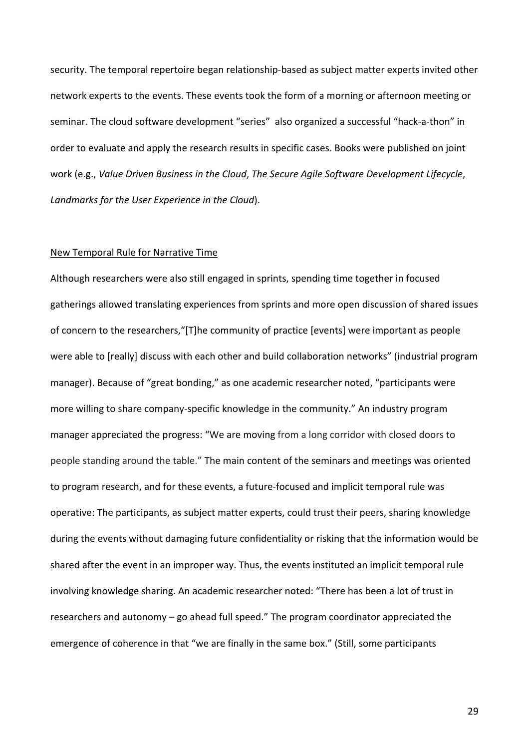security. The temporal repertoire began relationship-based as subject matter experts invited other network experts to the events. These events took the form of a morning or afternoon meeting or seminar. The cloud software development "series" also organized a successful "hack-a-thon" in order to evaluate and apply the research results in specific cases. Books were published on joint work (e.g., *Value Driven Business in the Cloud*, *The Secure Agile Software Development Lifecycle*, *Landmarks for the User Experience in the Cloud*).

#### New Temporal Rule for Narrative Time

Although researchers were also still engaged in sprints, spending time together in focused gatherings allowed translating experiences from sprints and more open discussion of shared issues of concern to the researchers,"[T]he community of practice [events] were important as people were able to [really] discuss with each other and build collaboration networks" (industrial program manager). Because of "great bonding," as one academic researcher noted, "participants were more willing to share company-specific knowledge in the community." An industry program manager appreciated the progress: "We are moving from a long corridor with closed doors to people standing around the table." The main content of the seminars and meetings was oriented to program research, and for these events, a future-focused and implicit temporal rule was operative: The participants, as subject matter experts, could trust their peers, sharing knowledge during the events without damaging future confidentiality or risking that the information would be shared after the event in an improper way. Thus, the events instituted an implicit temporal rule involving knowledge sharing. An academic researcher noted: "There has been a lot of trust in researchers and autonomy – go ahead full speed." The program coordinator appreciated the emergence of coherence in that "we are finally in the same box." (Still, some participants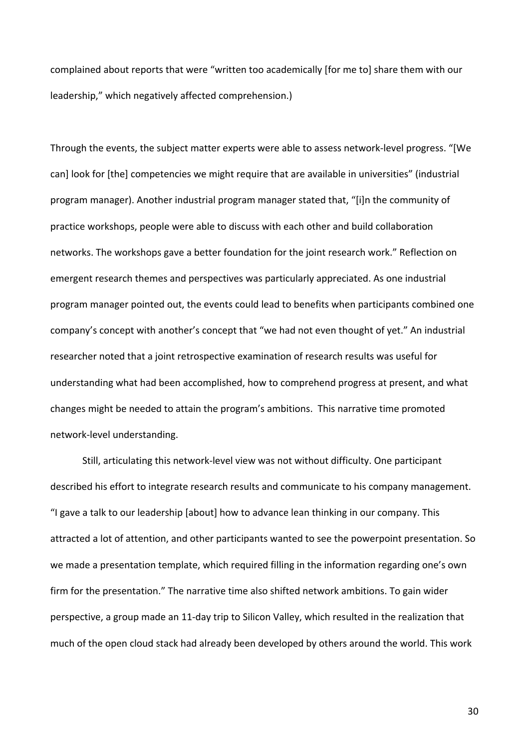complained about reports that were "written too academically [for me to] share them with our leadership," which negatively affected comprehension.)

Through the events, the subject matter experts were able to assess network-level progress. "[We can] look for [the] competencies we might require that are available in universities" (industrial program manager). Another industrial program manager stated that, "[i]n the community of practice workshops, people were able to discuss with each other and build collaboration networks. The workshops gave a better foundation for the joint research work." Reflection on emergent research themes and perspectives was particularly appreciated. As one industrial program manager pointed out, the events could lead to benefits when participants combined one company's concept with another's concept that "we had not even thought of yet." An industrial researcher noted that a joint retrospective examination of research results was useful for understanding what had been accomplished, how to comprehend progress at present, and what changes might be needed to attain the program's ambitions. This narrative time promoted network-level understanding.

Still, articulating this network-level view was not without difficulty. One participant described his effort to integrate research results and communicate to his company management. "I gave a talk to our leadership [about] how to advance lean thinking in our company. This attracted a lot of attention, and other participants wanted to see the powerpoint presentation. So we made a presentation template, which required filling in the information regarding one's own firm for the presentation." The narrative time also shifted network ambitions. To gain wider perspective, a group made an 11-day trip to Silicon Valley, which resulted in the realization that much of the open cloud stack had already been developed by others around the world. This work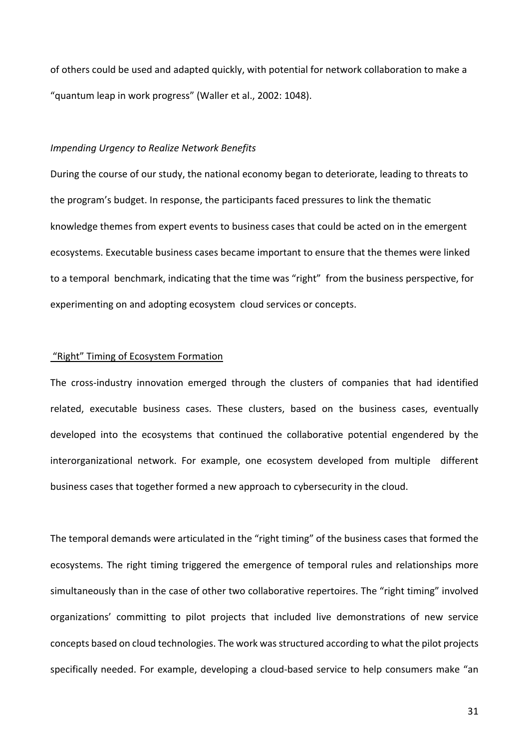of others could be used and adapted quickly, with potential for network collaboration to make a "quantum leap in work progress" (Waller et al., 2002: 1048).

#### *Impending Urgency to Realize Network Benefits*

During the course of our study, the national economy began to deteriorate, leading to threats to the program's budget. In response, the participants faced pressures to link the thematic knowledge themes from expert events to business cases that could be acted on in the emergent ecosystems. Executable business cases became important to ensure that the themes were linked to a temporal benchmark, indicating that the time was "right" from the business perspective, for experimenting on and adopting ecosystem cloud services or concepts.

## "Right" Timing of Ecosystem Formation

The cross-industry innovation emerged through the clusters of companies that had identified related, executable business cases. These clusters, based on the business cases, eventually developed into the ecosystems that continued the collaborative potential engendered by the interorganizational network. For example, one ecosystem developed from multiple different business cases that together formed a new approach to cybersecurity in the cloud.

The temporal demands were articulated in the "right timing" of the business cases that formed the ecosystems. The right timing triggered the emergence of temporal rules and relationships more simultaneously than in the case of other two collaborative repertoires. The "right timing" involved organizations' committing to pilot projects that included live demonstrations of new service concepts based on cloud technologies. The work was structured according to what the pilot projects specifically needed. For example, developing a cloud-based service to help consumers make "an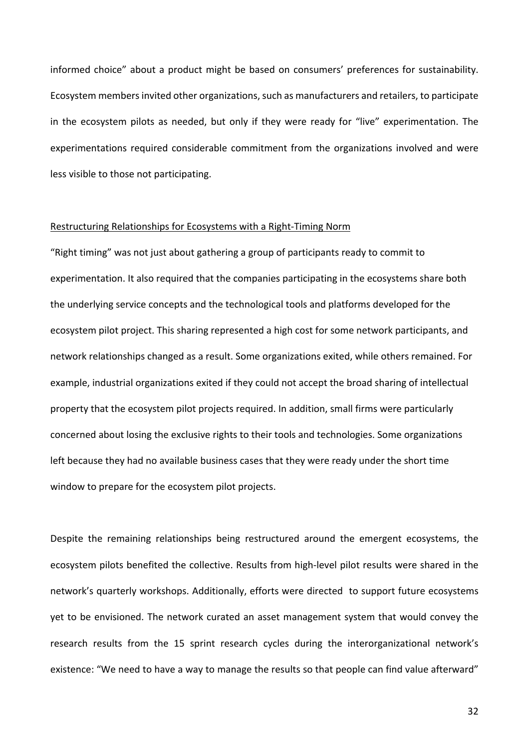informed choice" about a product might be based on consumers' preferences for sustainability. Ecosystem members invited other organizations, such as manufacturers and retailers, to participate in the ecosystem pilots as needed, but only if they were ready for "live" experimentation. The experimentations required considerable commitment from the organizations involved and were less visible to those not participating.

## Restructuring Relationships for Ecosystems with a Right-Timing Norm

"Right timing" was not just about gathering a group of participants ready to commit to experimentation. It also required that the companies participating in the ecosystems share both the underlying service concepts and the technological tools and platforms developed for the ecosystem pilot project. This sharing represented a high cost for some network participants, and network relationships changed as a result. Some organizations exited, while others remained. For example, industrial organizations exited if they could not accept the broad sharing of intellectual property that the ecosystem pilot projects required. In addition, small firms were particularly concerned about losing the exclusive rights to their tools and technologies. Some organizations left because they had no available business cases that they were ready under the short time window to prepare for the ecosystem pilot projects.

Despite the remaining relationships being restructured around the emergent ecosystems, the ecosystem pilots benefited the collective. Results from high-level pilot results were shared in the network's quarterly workshops. Additionally, efforts were directed to support future ecosystems yet to be envisioned. The network curated an asset management system that would convey the research results from the 15 sprint research cycles during the interorganizational network's existence: "We need to have a way to manage the results so that people can find value afterward"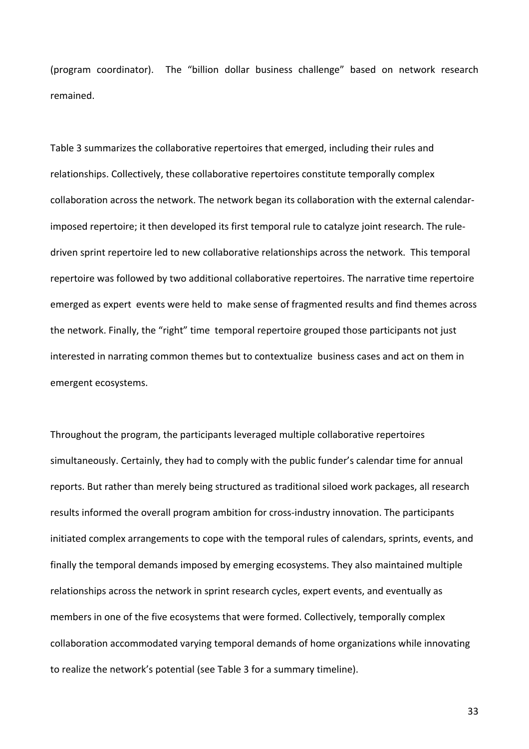(program coordinator). The "billion dollar business challenge" based on network research remained.

Table 3 summarizes the collaborative repertoires that emerged, including their rules and relationships. Collectively, these collaborative repertoires constitute temporally complex collaboration across the network. The network began its collaboration with the external calendarimposed repertoire; it then developed its first temporal rule to catalyze joint research. The ruledriven sprint repertoire led to new collaborative relationships across the network. This temporal repertoire was followed by two additional collaborative repertoires. The narrative time repertoire emerged as expert events were held to make sense of fragmented results and find themes across the network. Finally, the "right" time temporal repertoire grouped those participants not just interested in narrating common themes but to contextualize business cases and act on them in emergent ecosystems.

Throughout the program, the participants leveraged multiple collaborative repertoires simultaneously. Certainly, they had to comply with the public funder's calendar time for annual reports. But rather than merely being structured as traditional siloed work packages, all research results informed the overall program ambition for cross-industry innovation. The participants initiated complex arrangements to cope with the temporal rules of calendars, sprints, events, and finally the temporal demands imposed by emerging ecosystems. They also maintained multiple relationships across the network in sprint research cycles, expert events, and eventually as members in one of the five ecosystems that were formed. Collectively, temporally complex collaboration accommodated varying temporal demands of home organizations while innovating to realize the network's potential (see Table 3 for a summary timeline).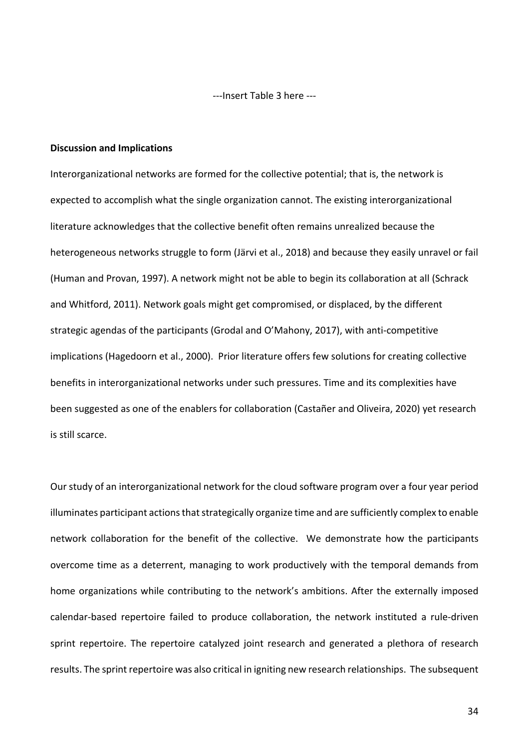---Insert Table 3 here ---

#### **Discussion and Implications**

Interorganizational networks are formed for the collective potential; that is, the network is expected to accomplish what the single organization cannot. The existing interorganizational literature acknowledges that the collective benefit often remains unrealized because the heterogeneous networks struggle to form (Järvi et al., 2018) and because they easily unravel or fail (Human and Provan, 1997). A network might not be able to begin its collaboration at all (Schrack and Whitford, 2011). Network goals might get compromised, or displaced, by the different strategic agendas of the participants (Grodal and O'Mahony, 2017), with anti-competitive implications (Hagedoorn et al., 2000). Prior literature offers few solutions for creating collective benefits in interorganizational networks under such pressures. Time and its complexities have been suggested as one of the enablers for collaboration (Castañer and Oliveira, 2020) yet research is still scarce.

Our study of an interorganizational network for the cloud software program over a four year period illuminates participant actions that strategically organize time and are sufficiently complex to enable network collaboration for the benefit of the collective. We demonstrate how the participants overcome time as a deterrent, managing to work productively with the temporal demands from home organizations while contributing to the network's ambitions. After the externally imposed calendar-based repertoire failed to produce collaboration, the network instituted a rule-driven sprint repertoire. The repertoire catalyzed joint research and generated a plethora of research results. The sprint repertoire was also critical in igniting new research relationships. The subsequent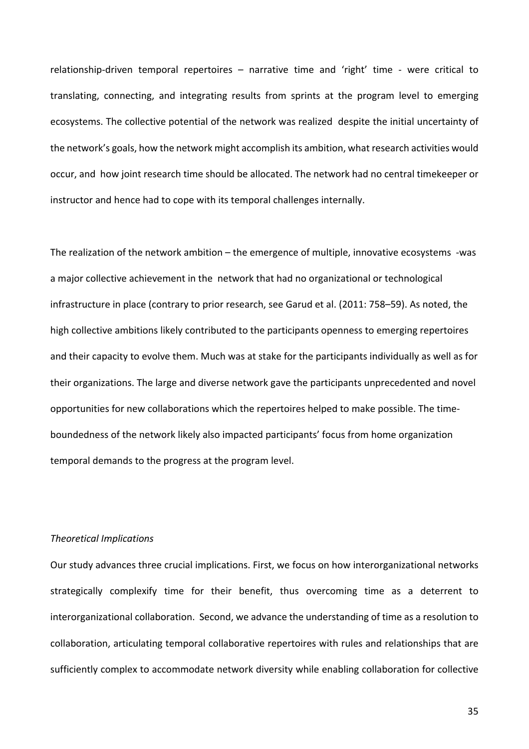relationship-driven temporal repertoires – narrative time and 'right' time - were critical to translating, connecting, and integrating results from sprints at the program level to emerging ecosystems. The collective potential of the network was realized despite the initial uncertainty of the network's goals, how the network might accomplish its ambition, what research activities would occur, and how joint research time should be allocated. The network had no central timekeeper or instructor and hence had to cope with its temporal challenges internally.

The realization of the network ambition – the emergence of multiple, innovative ecosystems -was a major collective achievement in the network that had no organizational or technological infrastructure in place (contrary to prior research, see Garud et al. (2011: 758–59). As noted, the high collective ambitions likely contributed to the participants openness to emerging repertoires and their capacity to evolve them. Much was at stake for the participants individually as well as for their organizations. The large and diverse network gave the participants unprecedented and novel opportunities for new collaborations which the repertoires helped to make possible. The timeboundedness of the network likely also impacted participants' focus from home organization temporal demands to the progress at the program level.

#### *Theoretical Implications*

Our study advances three crucial implications. First, we focus on how interorganizational networks strategically complexify time for their benefit, thus overcoming time as a deterrent to interorganizational collaboration. Second, we advance the understanding of time as a resolution to collaboration, articulating temporal collaborative repertoires with rules and relationships that are sufficiently complex to accommodate network diversity while enabling collaboration for collective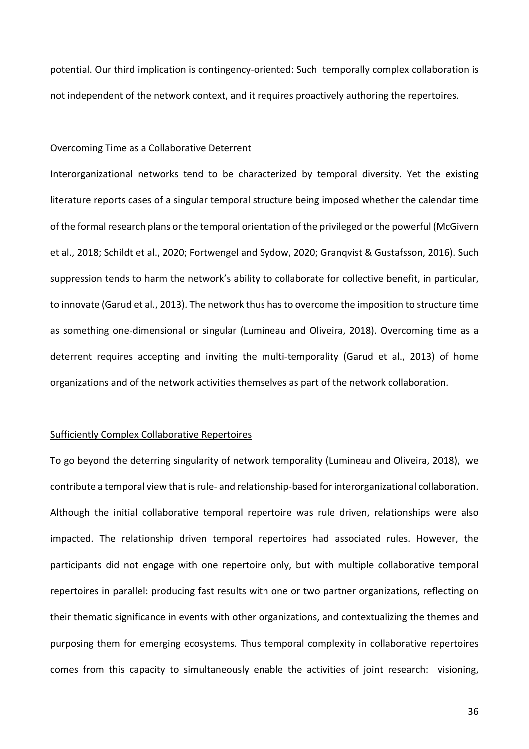potential. Our third implication is contingency-oriented: Such temporally complex collaboration is not independent of the network context, and it requires proactively authoring the repertoires.

#### Overcoming Time as a Collaborative Deterrent

Interorganizational networks tend to be characterized by temporal diversity. Yet the existing literature reports cases of a singular temporal structure being imposed whether the calendar time of the formal research plans or the temporal orientation of the privileged or the powerful (McGivern et al., 2018; Schildt et al., 2020; Fortwengel and Sydow, 2020; Granqvist & Gustafsson, 2016). Such suppression tends to harm the network's ability to collaborate for collective benefit, in particular, to innovate (Garud et al., 2013). The network thus has to overcome the imposition to structure time as something one-dimensional or singular (Lumineau and Oliveira, 2018). Overcoming time as a deterrent requires accepting and inviting the multi-temporality (Garud et al., 2013) of home organizations and of the network activities themselves as part of the network collaboration.

# Sufficiently Complex Collaborative Repertoires

To go beyond the deterring singularity of network temporality (Lumineau and Oliveira, 2018), we contribute a temporal view that is rule- and relationship-based for interorganizational collaboration. Although the initial collaborative temporal repertoire was rule driven, relationships were also impacted. The relationship driven temporal repertoires had associated rules. However, the participants did not engage with one repertoire only, but with multiple collaborative temporal repertoires in parallel: producing fast results with one or two partner organizations, reflecting on their thematic significance in events with other organizations, and contextualizing the themes and purposing them for emerging ecosystems. Thus temporal complexity in collaborative repertoires comes from this capacity to simultaneously enable the activities of joint research: visioning,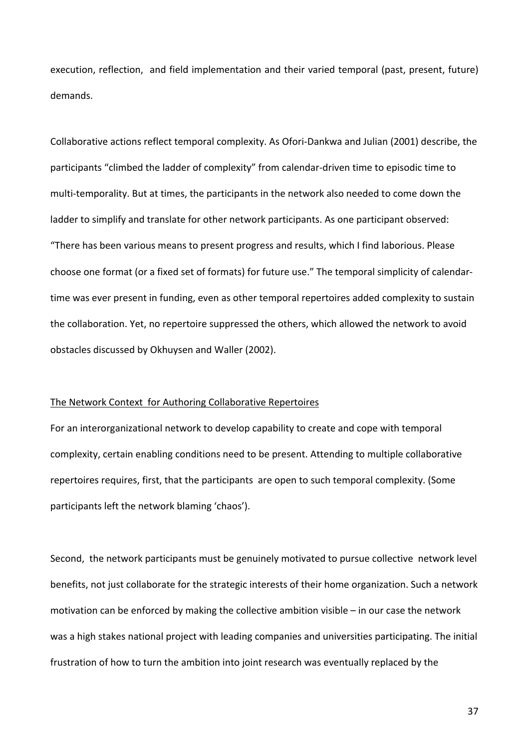execution, reflection, and field implementation and their varied temporal (past, present, future) demands.

Collaborative actions reflect temporal complexity. As Ofori-Dankwa and Julian (2001) describe, the participants "climbed the ladder of complexity" from calendar-driven time to episodic time to multi-temporality. But at times, the participants in the network also needed to come down the ladder to simplify and translate for other network participants. As one participant observed: "There has been various means to present progress and results, which I find laborious. Please choose one format (or a fixed set of formats) for future use." The temporal simplicity of calendartime was ever present in funding, even as other temporal repertoires added complexity to sustain the collaboration. Yet, no repertoire suppressed the others, which allowed the network to avoid obstacles discussed by Okhuysen and Waller (2002).

#### The Network Context for Authoring Collaborative Repertoires

For an interorganizational network to develop capability to create and cope with temporal complexity, certain enabling conditions need to be present. Attending to multiple collaborative repertoires requires, first, that the participants are open to such temporal complexity. (Some participants left the network blaming 'chaos').

Second, the network participants must be genuinely motivated to pursue collective network level benefits, not just collaborate for the strategic interests of their home organization. Such a network motivation can be enforced by making the collective ambition visible – in our case the network was a high stakes national project with leading companies and universities participating. The initial frustration of how to turn the ambition into joint research was eventually replaced by the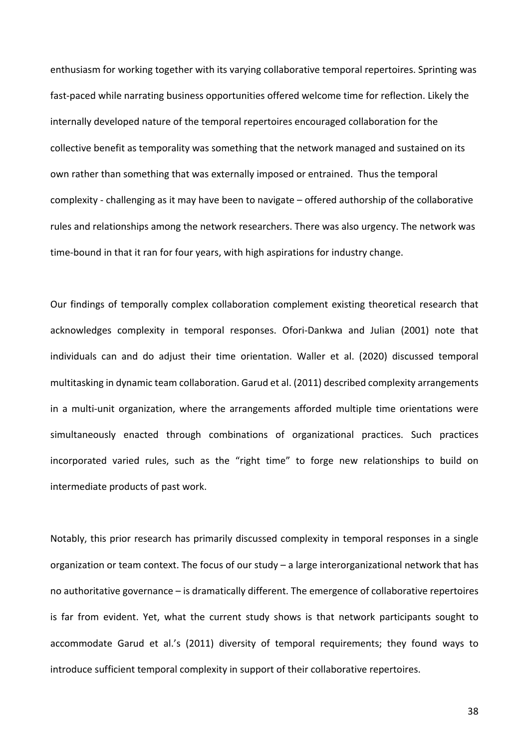enthusiasm for working together with its varying collaborative temporal repertoires. Sprinting was fast-paced while narrating business opportunities offered welcome time for reflection. Likely the internally developed nature of the temporal repertoires encouraged collaboration for the collective benefit as temporality was something that the network managed and sustained on its own rather than something that was externally imposed or entrained. Thus the temporal complexity - challenging as it may have been to navigate – offered authorship of the collaborative rules and relationships among the network researchers. There was also urgency. The network was time-bound in that it ran for four years, with high aspirations for industry change.

Our findings of temporally complex collaboration complement existing theoretical research that acknowledges complexity in temporal responses. Ofori-Dankwa and Julian (2001) note that individuals can and do adjust their time orientation. Waller et al. (2020) discussed temporal multitasking in dynamic team collaboration. Garud et al. (2011) described complexity arrangements in a multi-unit organization, where the arrangements afforded multiple time orientations were simultaneously enacted through combinations of organizational practices. Such practices incorporated varied rules, such as the "right time" to forge new relationships to build on intermediate products of past work.

Notably, this prior research has primarily discussed complexity in temporal responses in a single organization or team context. The focus of our study – a large interorganizational network that has no authoritative governance – is dramatically different. The emergence of collaborative repertoires is far from evident. Yet, what the current study shows is that network participants sought to accommodate Garud et al.'s (2011) diversity of temporal requirements; they found ways to introduce sufficient temporal complexity in support of their collaborative repertoires.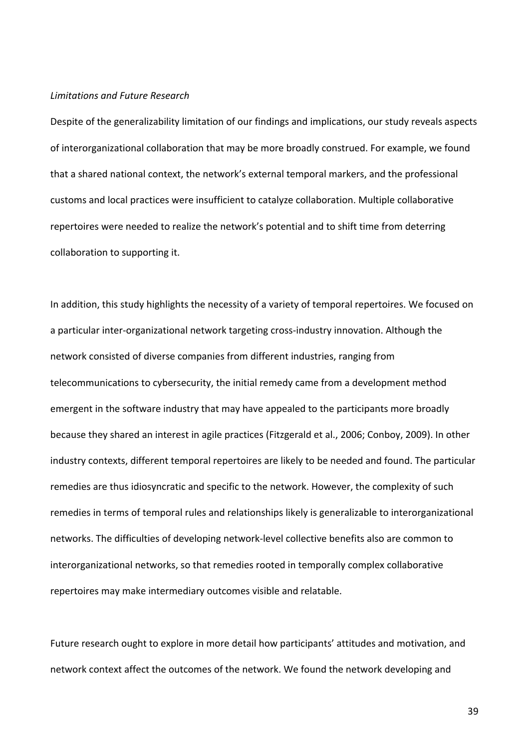#### *Limitations and Future Research*

Despite of the generalizability limitation of our findings and implications, our study reveals aspects of interorganizational collaboration that may be more broadly construed. For example, we found that a shared national context, the network's external temporal markers, and the professional customs and local practices were insufficient to catalyze collaboration. Multiple collaborative repertoires were needed to realize the network's potential and to shift time from deterring collaboration to supporting it.

In addition, this study highlights the necessity of a variety of temporal repertoires. We focused on a particular inter-organizational network targeting cross-industry innovation. Although the network consisted of diverse companies from different industries, ranging from telecommunications to cybersecurity, the initial remedy came from a development method emergent in the software industry that may have appealed to the participants more broadly because they shared an interest in agile practices (Fitzgerald et al., 2006; Conboy, 2009). In other industry contexts, different temporal repertoires are likely to be needed and found. The particular remedies are thus idiosyncratic and specific to the network. However, the complexity of such remedies in terms of temporal rules and relationships likely is generalizable to interorganizational networks. The difficulties of developing network-level collective benefits also are common to interorganizational networks, so that remedies rooted in temporally complex collaborative repertoires may make intermediary outcomes visible and relatable.

Future research ought to explore in more detail how participants' attitudes and motivation, and network context affect the outcomes of the network. We found the network developing and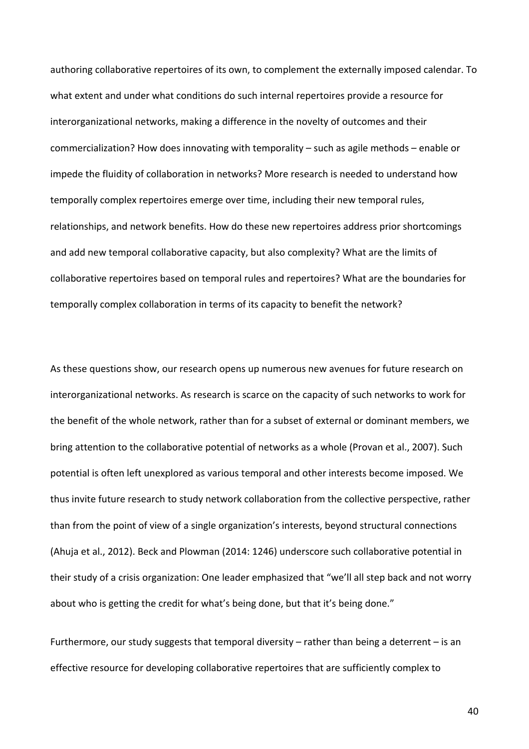authoring collaborative repertoires of its own, to complement the externally imposed calendar. To what extent and under what conditions do such internal repertoires provide a resource for interorganizational networks, making a difference in the novelty of outcomes and their commercialization? How does innovating with temporality – such as agile methods – enable or impede the fluidity of collaboration in networks? More research is needed to understand how temporally complex repertoires emerge over time, including their new temporal rules, relationships, and network benefits. How do these new repertoires address prior shortcomings and add new temporal collaborative capacity, but also complexity? What are the limits of collaborative repertoires based on temporal rules and repertoires? What are the boundaries for temporally complex collaboration in terms of its capacity to benefit the network?

As these questions show, our research opens up numerous new avenues for future research on interorganizational networks. As research is scarce on the capacity of such networks to work for the benefit of the whole network, rather than for a subset of external or dominant members, we bring attention to the collaborative potential of networks as a whole (Provan et al., 2007). Such potential is often left unexplored as various temporal and other interests become imposed. We thus invite future research to study network collaboration from the collective perspective, rather than from the point of view of a single organization's interests, beyond structural connections (Ahuja et al., 2012). Beck and Plowman (2014: 1246) underscore such collaborative potential in their study of a crisis organization: One leader emphasized that "we'll all step back and not worry about who is getting the credit for what's being done, but that it's being done."

Furthermore, our study suggests that temporal diversity – rather than being a deterrent – is an effective resource for developing collaborative repertoires that are sufficiently complex to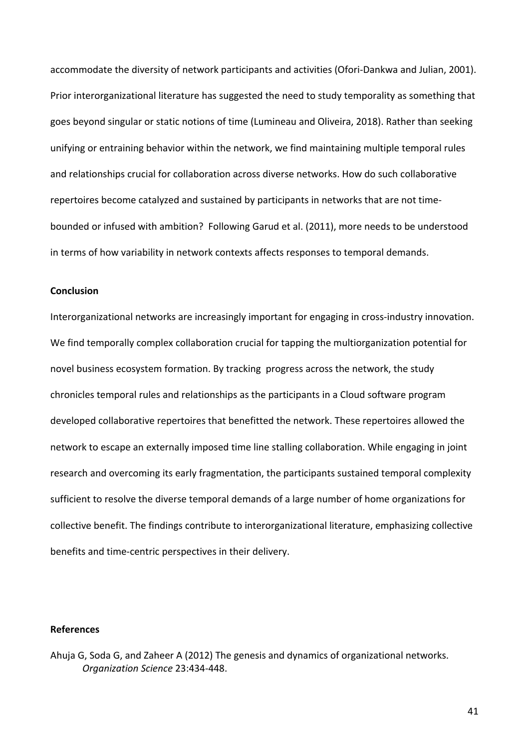accommodate the diversity of network participants and activities (Ofori-Dankwa and Julian, 2001). Prior interorganizational literature has suggested the need to study temporality as something that goes beyond singular or static notions of time (Lumineau and Oliveira, 2018). Rather than seeking unifying or entraining behavior within the network, we find maintaining multiple temporal rules and relationships crucial for collaboration across diverse networks. How do such collaborative repertoires become catalyzed and sustained by participants in networks that are not timebounded or infused with ambition? Following Garud et al. (2011), more needs to be understood in terms of how variability in network contexts affects responses to temporal demands.

# **Conclusion**

Interorganizational networks are increasingly important for engaging in cross-industry innovation. We find temporally complex collaboration crucial for tapping the multiorganization potential for novel business ecosystem formation. By tracking progress across the network, the study chronicles temporal rules and relationships as the participants in a Cloud software program developed collaborative repertoires that benefitted the network. These repertoires allowed the network to escape an externally imposed time line stalling collaboration. While engaging in joint research and overcoming its early fragmentation, the participants sustained temporal complexity sufficient to resolve the diverse temporal demands of a large number of home organizations for collective benefit. The findings contribute to interorganizational literature, emphasizing collective benefits and time-centric perspectives in their delivery.

## **References**

Ahuja G, Soda G, and Zaheer A (2012) The genesis and dynamics of organizational networks. *Organization Science* 23:434-448.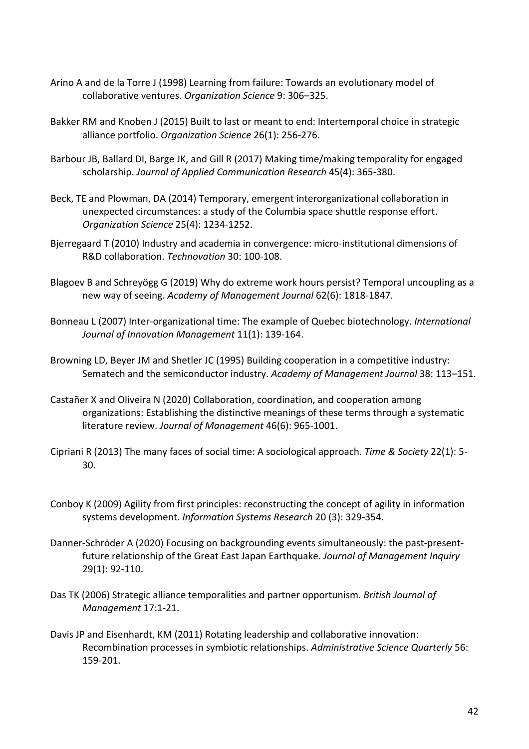- Arino A and de la Torre J (1998) Learning from failure: Towards an evolutionary model of collaborative ventures. *Organization Science* 9: 306–325.
- Bakker RM and Knoben J (2015) Built to last or meant to end: Intertemporal choice in strategic alliance portfolio. *Organization Science* 26(1): 256-276.
- Barbour JB, Ballard DI, Barge JK, and Gill R (2017) Making time/making temporality for engaged scholarship. *Journal of Applied Communication Research* 45(4): 365-380.
- Beck, TE and Plowman, DA (2014) Temporary, emergent interorganizational collaboration in unexpected circumstances: a study of the Columbia space shuttle response effort. *Organization Science* 25(4): 1234-1252.
- Bjerregaard T (2010) Industry and academia in convergence: micro-institutional dimensions of R&D collaboration. *Technovation* 30: 100-108.
- Blagoev B and Schreyögg G (2019) Why do extreme work hours persist? Temporal uncoupling as a new way of seeing. *Academy of Management Journal* 62(6): 1818-1847.
- Bonneau L (2007) Inter-organizational time: The example of Quebec biotechnology. *International Journal of Innovation Management* 11(1): 139-164.
- Browning LD, Beyer JM and Shetler JC (1995) Building cooperation in a competitive industry: Sematech and the semiconductor industry. *Academy of Management Journal* 38: 113–151.
- Castañer X and Oliveira N (2020) Collaboration, coordination, and cooperation among organizations: Establishing the distinctive meanings of these terms through a systematic literature review. *Journal of Management* 46(6): 965-1001.
- Cipriani R (2013) The many faces of social time: A sociological approach. *Time & Society* 22(1): 5- 30.
- Conboy K (2009) Agility from first principles: reconstructing the concept of agility in information systems development. *Information Systems Research* 20 (3): 329-354.
- Danner-Schröder A (2020) Focusing on backgrounding events simultaneously: the past-presentfuture relationship of the Great East Japan Earthquake. *Journal of Management Inquiry* 29(1): 92-110.
- Das TK (2006) Strategic alliance temporalities and partner opportunism. *British Journal of Management* 17:1-21.
- Davis JP and Eisenhardt, KM (2011) Rotating leadership and collaborative innovation: Recombination processes in symbiotic relationships. *Administrative Science Quarterly* 56: 159-201.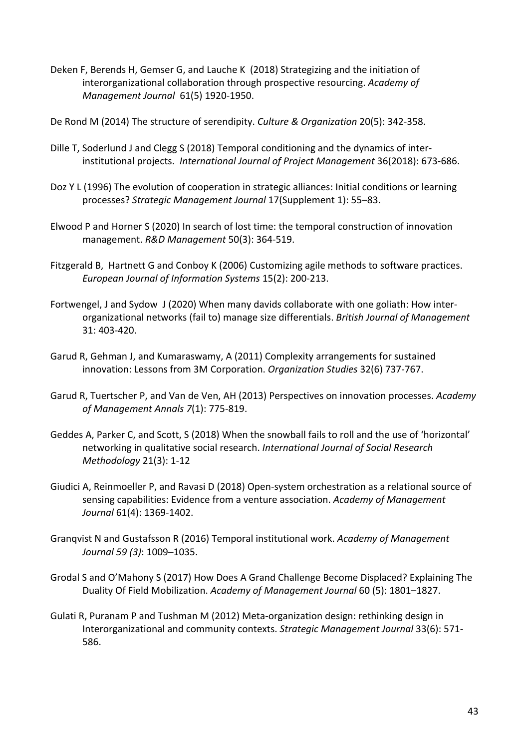Deken F, Berends H, Gemser G, and Lauche K (2018) Strategizing and the initiation of interorganizational collaboration through prospective resourcing. *Academy of Management Journal* 61(5) 1920-1950.

De Rond M (2014) The structure of serendipity. *Culture & Organization* 20(5): 342-358.

- Dille T, Soderlund J and Clegg S (2018) Temporal conditioning and the dynamics of interinstitutional projects. *International Journal of Project Management* 36(2018): 673-686.
- Doz Y L (1996) The evolution of cooperation in strategic alliances: Initial conditions or learning processes? *Strategic Management Journal* 17(Supplement 1): 55–83.
- Elwood P and Horner S (2020) In search of lost time: the temporal construction of innovation management. *R&D Management* 50(3): 364-519.
- Fitzgerald B, Hartnett G and Conboy K (2006) Customizing agile methods to software practices. *European Journal of Information Systems* 15(2): 200-213.
- Fortwengel, J and Sydow J (2020) When many davids collaborate with one goliath: How interorganizational networks (fail to) manage size differentials. *British Journal of Management* 31: 403-420.
- Garud R, Gehman J, and Kumaraswamy, A (2011) Complexity arrangements for sustained innovation: Lessons from 3M Corporation. *Organization Studies* 32(6) 737-767.
- Garud R, Tuertscher P, and Van de Ven, AH (2013) Perspectives on innovation processes. *Academy of Management Annals 7*(1): 775-819.
- Geddes A, Parker C, and Scott, S (2018) When the snowball fails to roll and the use of 'horizontal' networking in qualitative social research. *International Journal of Social Research Methodology* 21(3): 1-12
- Giudici A, Reinmoeller P, and Ravasi D (2018) Open-system orchestration as a relational source of sensing capabilities: Evidence from a venture association. *Academy of Management Journal* 61(4): 1369-1402.
- Granqvist N and Gustafsson R (2016) Temporal institutional work. *Academy of Management Journal 59 (3)*: 1009–1035.
- Grodal S and O'Mahony S (2017) How Does A Grand Challenge Become Displaced? Explaining The Duality Of Field Mobilization. *Academy of Management Journal* 60 (5): 1801–1827.
- Gulati R, Puranam P and Tushman M (2012) Meta-organization design: rethinking design in Interorganizational and community contexts. *Strategic Management Journal* 33(6): 571- 586.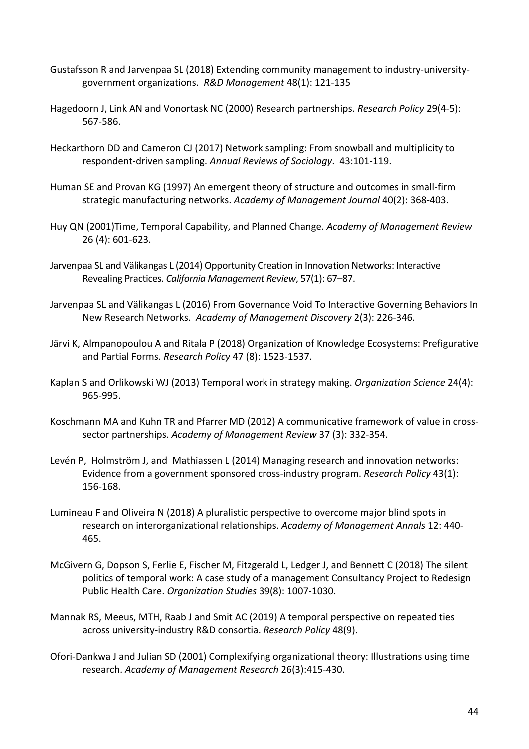- Gustafsson R and Jarvenpaa SL (2018) Extending community management to industry-universitygovernment organizations. *R&D Management* 48(1): 121-135
- Hagedoorn J, Link AN and Vonortask NC (2000) Research partnerships. *Research Policy* 29(4-5): 567-586.
- Heckarthorn DD and Cameron CJ (2017) Network sampling: From snowball and multiplicity to respondent-driven sampling. *Annual Reviews of Sociology*. 43:101-119.
- Human SE and Provan KG (1997) An emergent theory of structure and outcomes in small-firm strategic manufacturing networks. *Academy of Management Journal* 40(2): 368-403.
- Huy QN (2001)Time, Temporal Capability, and Planned Change. *Academy of Management Review*  26 (4): 601-623.
- Jarvenpaa SL and Välikangas L (2014) Opportunity Creation in Innovation Networks: Interactive Revealing Practices. *California Management Review*, 57(1): 67–87.
- Jarvenpaa SL and Välikangas L (2016) From Governance Void To Interactive Governing Behaviors In New Research Networks. *Academy of Management Discovery* 2(3): 226-346.
- Järvi K, Almpanopoulou A and Ritala P (2018) Organization of Knowledge Ecosystems: Prefigurative and Partial Forms. *Research Policy* 47 (8): 1523-1537.
- Kaplan S and Orlikowski WJ (2013) Temporal work in strategy making. *Organization Science* 24(4): 965-995.
- Koschmann MA and Kuhn TR and Pfarrer MD (2012) A communicative framework of value in crosssector partnerships. *Academy of Management Review* 37 (3): 332-354.
- Levén P, Holmström J, and Mathiassen L (2014) Managing research and innovation networks: Evidence from a government sponsored cross-industry program. *Research Policy* 43(1): 156-168.
- Lumineau F and Oliveira N (2018) A pluralistic perspective to overcome major blind spots in research on interorganizational relationships. *Academy of Management Annals* 12: 440- 465.
- McGivern G, Dopson S, Ferlie E, Fischer M, Fitzgerald L, Ledger J, and Bennett C (2018) The silent politics of temporal work: A case study of a management Consultancy Project to Redesign Public Health Care. *Organization Studies* 39(8): 1007-1030.
- Mannak RS, Meeus, MTH, Raab J and Smit AC (2019) A temporal perspective on repeated ties across university-industry R&D consortia. *Research Policy* 48(9).
- Ofori-Dankwa J and Julian SD (2001) Complexifying organizational theory: Illustrations using time research. *Academy of Management Research* 26(3):415-430.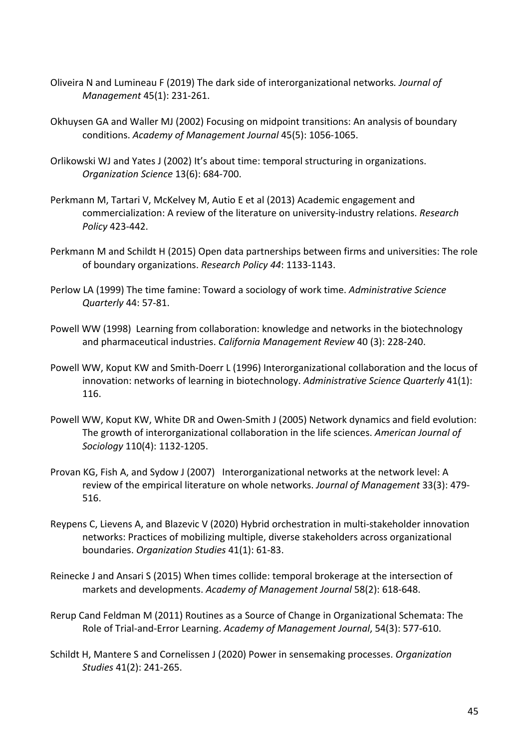- Oliveira N and Lumineau F (2019) The dark side of interorganizational networks*. Journal of Management* 45(1): 231-261.
- Okhuysen GA and Waller MJ (2002) Focusing on midpoint transitions: An analysis of boundary conditions. *Academy of Management Journal* 45(5): 1056-1065.
- Orlikowski WJ and Yates J (2002) It's about time: temporal structuring in organizations. *Organization Science* 13(6): 684-700.
- Perkmann M, Tartari V, McKelvey M, Autio E et al (2013) Academic engagement and commercialization: A review of the literature on university-industry relations. *Research Policy* 423-442.
- Perkmann M and Schildt H (2015) Open data partnerships between firms and universities: The role of boundary organizations. *Research Policy 44*: 1133-1143.
- Perlow LA (1999) The time famine: Toward a sociology of work time. *Administrative Science Quarterly* 44: 57-81.
- Powell WW (1998) Learning from collaboration: knowledge and networks in the biotechnology and pharmaceutical industries. *California Management Review* 40 (3): 228-240.
- Powell WW, Koput KW and Smith-Doerr L (1996) Interorganizational collaboration and the locus of innovation: networks of learning in biotechnology. *Administrative Science Quarterly* 41(1): 116.
- Powell WW, Koput KW, White DR and Owen-Smith J (2005) Network dynamics and field evolution: The growth of interorganizational collaboration in the life sciences. *American Journal of Sociology* 110(4): 1132-1205.
- Provan KG, Fish A, and Sydow J (2007) Interorganizational networks at the network level: A review of the empirical literature on whole networks. *Journal of Management* 33(3): 479- 516.
- Reypens C, Lievens A, and Blazevic V (2020) Hybrid orchestration in multi-stakeholder innovation networks: Practices of mobilizing multiple, diverse stakeholders across organizational boundaries. *Organization Studies* 41(1): 61-83.
- Reinecke J and Ansari S (2015) When times collide: temporal brokerage at the intersection of markets and developments. *Academy of Management Journal* 58(2): 618-648.
- Rerup Cand Feldman M (2011) Routines as a Source of Change in Organizational Schemata: The Role of Trial-and-Error Learning. *Academy of Management Journal*, 54(3): 577-610.
- Schildt H, Mantere S and Cornelissen J (2020) Power in sensemaking processes. *Organization Studies* 41(2): 241-265.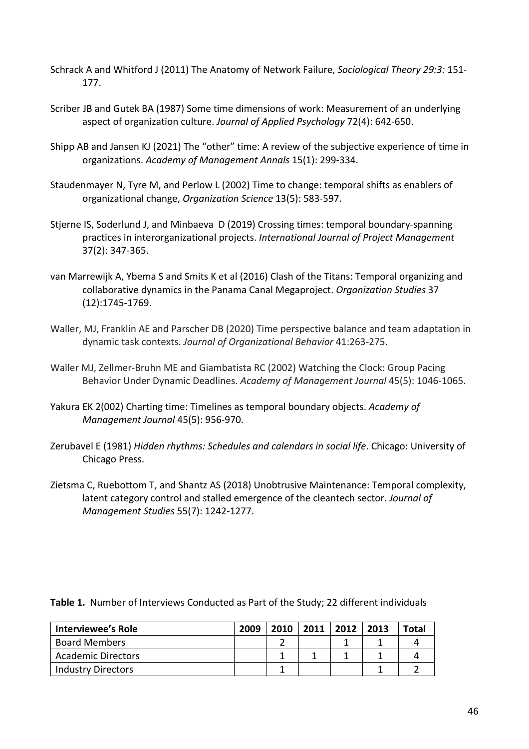- Schrack A and Whitford J (2011) The Anatomy of Network Failure, *Sociological Theory 29:3:* 151- 177.
- Scriber JB and Gutek BA (1987) Some time dimensions of work: Measurement of an underlying aspect of organization culture. *Journal of Applied Psychology* 72(4): 642-650.
- Shipp AB and Jansen KJ (2021) The "other" time: A review of the subjective experience of time in organizations. *Academy of Management Annals* 15(1): 299-334.
- Staudenmayer N, Tyre M, and Perlow L (2002) Time to change: temporal shifts as enablers of organizational change, *Organization Science* 13(5): 583-597.
- Stjerne IS, Soderlund J, and Minbaeva D (2019) Crossing times: temporal boundary-spanning practices in interorganizational projects. *International Journal of Project Management* 37(2): 347-365.
- van Marrewijk A, Ybema S and Smits K et al (2016) Clash of the Titans: Temporal organizing and collaborative dynamics in the Panama Canal Megaproject. *Organization Studies* 37 (12):1745-1769.
- Waller, MJ, Franklin AE and Parscher DB (2020) Time perspective balance and team adaptation in dynamic task contexts. *Journal of Organizational Behavior* 41:263-275.
- Waller MJ, Zellmer-Bruhn ME and Giambatista RC (2002) Watching the Clock: Group Pacing Behavior Under Dynamic Deadlines. *Academy of Management Journal* 45(5): 1046-1065.
- Yakura EK 2(002) Charting time: Timelines as temporal boundary objects. *Academy of Management Journal* 45(5): 956-970.
- Zerubavel E (1981) *Hidden rhythms: Schedules and calendars in social life*. Chicago: University of Chicago Press.
- Zietsma C, Ruebottom T, and Shantz AS (2018) Unobtrusive Maintenance: Temporal complexity, latent category control and stalled emergence of the cleantech sector. *Journal of Management Studies* 55(7): 1242-1277.

| <b>Interviewee's Role</b> | 2009 | 2010 | 2011 | 2012 | 2013 | Total |
|---------------------------|------|------|------|------|------|-------|
| <b>Board Members</b>      |      |      |      |      |      |       |
| <b>Academic Directors</b> |      |      |      |      |      |       |
| <b>Industry Directors</b> |      |      |      |      |      |       |

**Table 1.** Number of Interviews Conducted as Part of the Study; 22 different individuals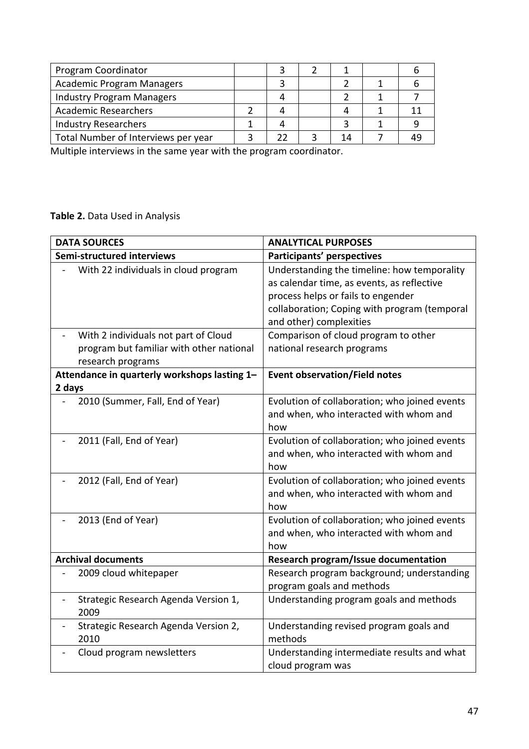| Program Coordinator                 |  |    |  |
|-------------------------------------|--|----|--|
| <b>Academic Program Managers</b>    |  |    |  |
| <b>Industry Program Managers</b>    |  |    |  |
| <b>Academic Researchers</b>         |  |    |  |
| <b>Industry Researchers</b>         |  |    |  |
| Total Number of Interviews per year |  | 14 |  |

Multiple interviews in the same year with the program coordinator.

# **Table 2.** Data Used in Analysis

| <b>DATA SOURCES</b>                                              | <b>ANALYTICAL PURPOSES</b>                    |  |  |
|------------------------------------------------------------------|-----------------------------------------------|--|--|
| Semi-structured interviews                                       | Participants' perspectives                    |  |  |
| With 22 individuals in cloud program                             | Understanding the timeline: how temporality   |  |  |
|                                                                  | as calendar time, as events, as reflective    |  |  |
|                                                                  | process helps or fails to engender            |  |  |
|                                                                  | collaboration; Coping with program (temporal  |  |  |
|                                                                  | and other) complexities                       |  |  |
| With 2 individuals not part of Cloud                             | Comparison of cloud program to other          |  |  |
| program but familiar with other national                         | national research programs                    |  |  |
| research programs                                                |                                               |  |  |
| Attendance in quarterly workshops lasting 1-                     | <b>Event observation/Field notes</b>          |  |  |
| 2 days                                                           |                                               |  |  |
| 2010 (Summer, Fall, End of Year)                                 | Evolution of collaboration; who joined events |  |  |
|                                                                  | and when, who interacted with whom and        |  |  |
|                                                                  | how                                           |  |  |
| 2011 (Fall, End of Year)                                         | Evolution of collaboration; who joined events |  |  |
|                                                                  | and when, who interacted with whom and        |  |  |
|                                                                  | how                                           |  |  |
| 2012 (Fall, End of Year)                                         | Evolution of collaboration; who joined events |  |  |
|                                                                  | and when, who interacted with whom and        |  |  |
|                                                                  | how                                           |  |  |
| 2013 (End of Year)                                               | Evolution of collaboration; who joined events |  |  |
|                                                                  | and when, who interacted with whom and        |  |  |
|                                                                  | how                                           |  |  |
| <b>Archival documents</b>                                        | <b>Research program/Issue documentation</b>   |  |  |
| 2009 cloud whitepaper                                            | Research program background; understanding    |  |  |
|                                                                  | program goals and methods                     |  |  |
| Strategic Research Agenda Version 1,<br>$\overline{\phantom{0}}$ | Understanding program goals and methods       |  |  |
| 2009                                                             |                                               |  |  |
| Strategic Research Agenda Version 2,                             | Understanding revised program goals and       |  |  |
| 2010                                                             | methods                                       |  |  |
| Cloud program newsletters                                        | Understanding intermediate results and what   |  |  |
|                                                                  | cloud program was                             |  |  |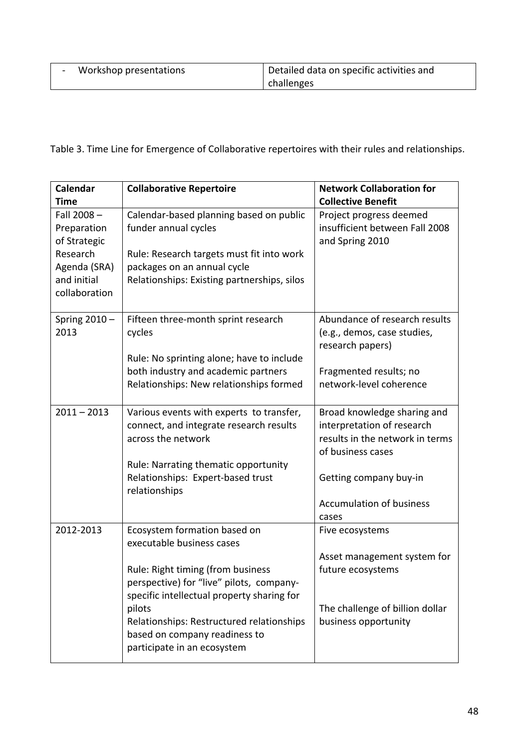| Workshop presentations | Detailed data on specific activities and |
|------------------------|------------------------------------------|
|                        | challenges                               |

Table 3. Time Line for Emergence of Collaborative repertoires with their rules and relationships.

| <b>Calendar</b><br><b>Time</b>                                                                        | <b>Collaborative Repertoire</b>                                                                                                                                                                                                                                                                                 | <b>Network Collaboration for</b><br><b>Collective Benefit</b>                                                                                                                           |
|-------------------------------------------------------------------------------------------------------|-----------------------------------------------------------------------------------------------------------------------------------------------------------------------------------------------------------------------------------------------------------------------------------------------------------------|-----------------------------------------------------------------------------------------------------------------------------------------------------------------------------------------|
| Fall 2008-<br>Preparation<br>of Strategic<br>Research<br>Agenda (SRA)<br>and initial<br>collaboration | Calendar-based planning based on public<br>funder annual cycles<br>Rule: Research targets must fit into work<br>packages on an annual cycle<br>Relationships: Existing partnerships, silos                                                                                                                      | Project progress deemed<br>insufficient between Fall 2008<br>and Spring 2010                                                                                                            |
| Spring $2010 -$<br>2013                                                                               | Fifteen three-month sprint research<br>cycles<br>Rule: No sprinting alone; have to include<br>both industry and academic partners<br>Relationships: New relationships formed                                                                                                                                    | Abundance of research results<br>(e.g., demos, case studies,<br>research papers)<br>Fragmented results; no<br>network-level coherence                                                   |
| $2011 - 2013$                                                                                         | Various events with experts to transfer,<br>connect, and integrate research results<br>across the network<br>Rule: Narrating thematic opportunity<br>Relationships: Expert-based trust<br>relationships                                                                                                         | Broad knowledge sharing and<br>interpretation of research<br>results in the network in terms<br>of business cases<br>Getting company buy-in<br><b>Accumulation of business</b><br>cases |
| 2012-2013                                                                                             | Ecosystem formation based on<br>executable business cases<br>Rule: Right timing (from business<br>perspective) for "live" pilots, company-<br>specific intellectual property sharing for<br>pilots<br>Relationships: Restructured relationships<br>based on company readiness to<br>participate in an ecosystem | Five ecosystems<br>Asset management system for<br>future ecosystems<br>The challenge of billion dollar<br>business opportunity                                                          |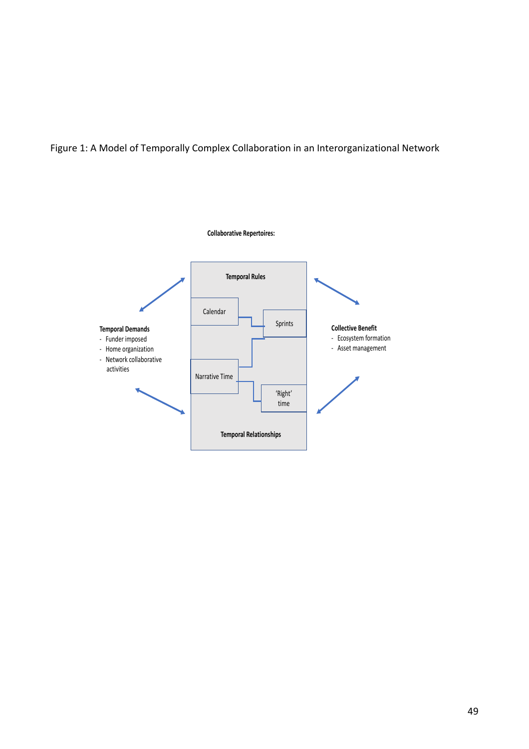Figure 1: A Model of Temporally Complex Collaboration in an Interorganizational Network